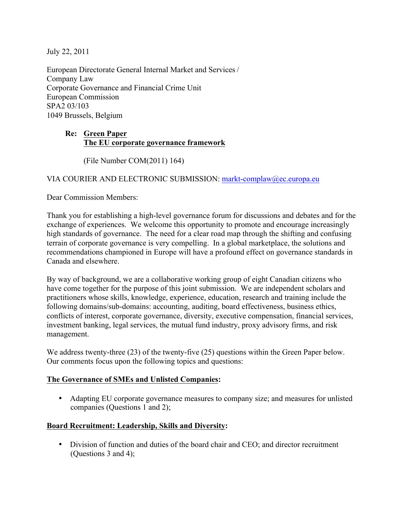July 22, 2011

European Directorate General Internal Market and Services / Company Law Corporate Governance and Financial Crime Unit European Commission SPA2 03/103 1049 Brussels, Belgium

# **Re: Green Paper The EU corporate governance framework**

(File Number COM(2011) 164)

# VIA COURIER AND ELECTRONIC SUBMISSION: markt-complaw@ec.europa.eu

Dear Commission Members:

Thank you for establishing a high-level governance forum for discussions and debates and for the exchange of experiences. We welcome this opportunity to promote and encourage increasingly high standards of governance. The need for a clear road map through the shifting and confusing terrain of corporate governance is very compelling. In a global marketplace, the solutions and recommendations championed in Europe will have a profound effect on governance standards in Canada and elsewhere.

By way of background, we are a collaborative working group of eight Canadian citizens who have come together for the purpose of this joint submission. We are independent scholars and practitioners whose skills, knowledge, experience, education, research and training include the following domains/sub-domains: accounting, auditing, board effectiveness, business ethics, conflicts of interest, corporate governance, diversity, executive compensation, financial services, investment banking, legal services, the mutual fund industry, proxy advisory firms, and risk management.

We address twenty-three (23) of the twenty-five (25) questions within the Green Paper below. Our comments focus upon the following topics and questions:

# **The Governance of SMEs and Unlisted Companies:**

• Adapting EU corporate governance measures to company size; and measures for unlisted companies (Questions 1 and 2);

# **Board Recruitment: Leadership, Skills and Diversity:**

• Division of function and duties of the board chair and CEO; and director recruitment (Questions 3 and 4);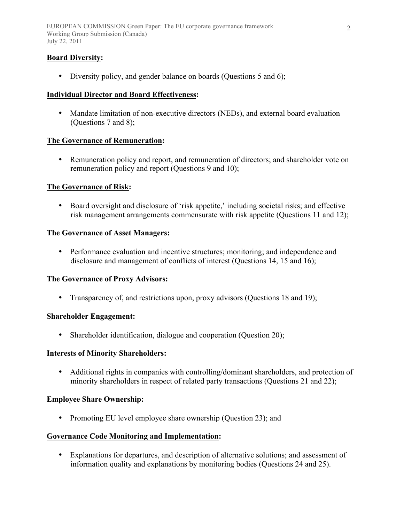## **Board Diversity:**

• Diversity policy, and gender balance on boards (Questions 5 and 6);

# **Individual Director and Board Effectiveness:**

• Mandate limitation of non-executive directors (NEDs), and external board evaluation (Questions 7 and 8);

# **The Governance of Remuneration:**

• Remuneration policy and report, and remuneration of directors; and shareholder vote on remuneration policy and report (Questions 9 and 10);

# **The Governance of Risk:**

• Board oversight and disclosure of 'risk appetite,' including societal risks; and effective risk management arrangements commensurate with risk appetite (Questions 11 and 12);

# **The Governance of Asset Managers:**

• Performance evaluation and incentive structures; monitoring; and independence and disclosure and management of conflicts of interest (Questions 14, 15 and 16);

## **The Governance of Proxy Advisors:**

• Transparency of, and restrictions upon, proxy advisors (Questions 18 and 19);

## **Shareholder Engagement:**

• Shareholder identification, dialogue and cooperation (Question 20);

## **Interests of Minority Shareholders:**

• Additional rights in companies with controlling/dominant shareholders, and protection of minority shareholders in respect of related party transactions (Questions 21 and 22);

## **Employee Share Ownership:**

• Promoting EU level employee share ownership (Ouestion 23); and

## **Governance Code Monitoring and Implementation:**

• Explanations for departures, and description of alternative solutions; and assessment of information quality and explanations by monitoring bodies (Questions 24 and 25).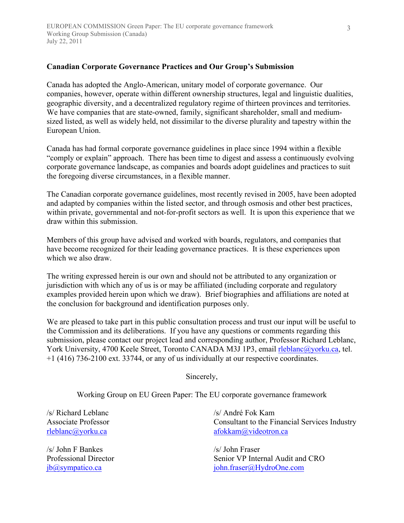### **Canadian Corporate Governance Practices and Our Group's Submission**

Canada has adopted the Anglo-American, unitary model of corporate governance. Our companies, however, operate within different ownership structures, legal and linguistic dualities, geographic diversity, and a decentralized regulatory regime of thirteen provinces and territories. We have companies that are state-owned, family, significant shareholder, small and mediumsized listed, as well as widely held, not dissimilar to the diverse plurality and tapestry within the European Union.

Canada has had formal corporate governance guidelines in place since 1994 within a flexible "comply or explain" approach. There has been time to digest and assess a continuously evolving corporate governance landscape, as companies and boards adopt guidelines and practices to suit the foregoing diverse circumstances, in a flexible manner.

The Canadian corporate governance guidelines, most recently revised in 2005, have been adopted and adapted by companies within the listed sector, and through osmosis and other best practices, within private, governmental and not-for-profit sectors as well. It is upon this experience that we draw within this submission.

Members of this group have advised and worked with boards, regulators, and companies that have become recognized for their leading governance practices. It is these experiences upon which we also draw.

The writing expressed herein is our own and should not be attributed to any organization or jurisdiction with which any of us is or may be affiliated (including corporate and regulatory examples provided herein upon which we draw). Brief biographies and affiliations are noted at the conclusion for background and identification purposes only.

We are pleased to take part in this public consultation process and trust our input will be useful to the Commission and its deliberations. If you have any questions or comments regarding this submission, please contact our project lead and corresponding author, Professor Richard Leblanc, York University, 4700 Keele Street, Toronto CANADA M3J 1P3, email rleblanc@yorku.ca, tel. +1 (416) 736-2100 ext. 33744, or any of us individually at our respective coordinates.

Sincerely,

Working Group on EU Green Paper: The EU corporate governance framework

/s/ Richard Leblanc Associate Professor rleblanc@yorku.ca

/s/ John F Bankes Professional Director jb@sympatico.ca

/s/ André Fok Kam Consultant to the Financial Services Industry afokkam@videotron.ca

/s/ John Fraser Senior VP Internal Audit and CRO john.fraser@HydroOne.com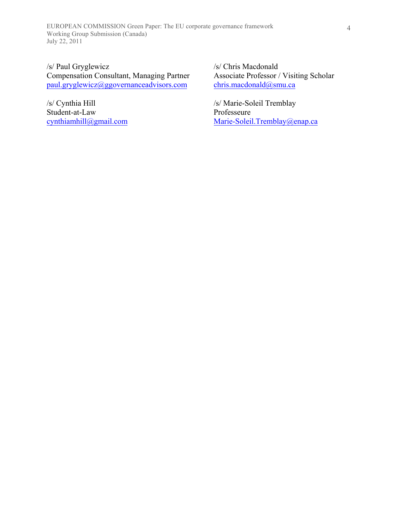# /s/ Paul Gryglewicz

Compensation Consultant, Managing Partner paul.gryglewicz@ggovernanceadvisors.com

/s/ Cynthia Hill Student-at-Law cynthiamhill@gmail.com /s/ Chris Macdonald Associate Professor / Visiting Scholar chris.macdonald@smu.ca

/s/ Marie-Soleil Tremblay Professeure Marie-Soleil.Tremblay@enap.ca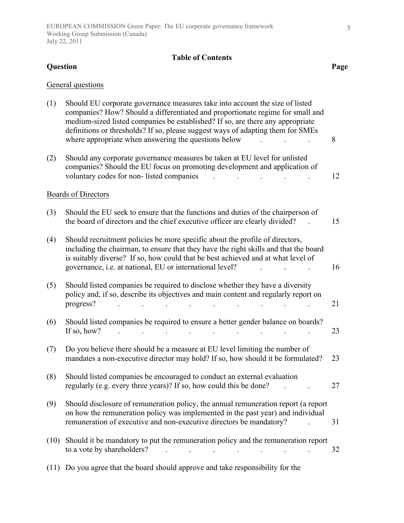# **Table of Contents**

# **Question Page**

# General questions

| (1)  | Should EU corporate governance measures take into account the size of listed<br>companies? How? Should a differentiated and proportionate regime for small and<br>medium-sized listed companies be established? If so, are there any appropriate<br>definitions or thresholds? If so, please suggest ways of adapting them for SMEs<br>where appropriate when answering the questions below | 8  |
|------|---------------------------------------------------------------------------------------------------------------------------------------------------------------------------------------------------------------------------------------------------------------------------------------------------------------------------------------------------------------------------------------------|----|
| (2)  | Should any corporate governance measures be taken at EU level for unlisted<br>companies? Should the EU focus on promoting development and application of<br>voluntary codes for non-listed companies                                                                                                                                                                                        | 12 |
|      | <b>Boards of Directors</b>                                                                                                                                                                                                                                                                                                                                                                  |    |
| (3)  | Should the EU seek to ensure that the functions and duties of the chairperson of<br>the board of directors and the chief executive officer are clearly divided?                                                                                                                                                                                                                             | 15 |
| (4)  | Should recruitment policies be more specific about the profile of directors,<br>including the chairman, to ensure that they have the right skills and that the board<br>is suitably diverse? If so, how could that be best achieved and at what level of<br>governance, i.e. at national, EU or international level?                                                                        | 16 |
| (5)  | Should listed companies be required to disclose whether they have a diversity<br>policy and, if so, describe its objectives and main content and regularly report on<br>progress?                                                                                                                                                                                                           | 21 |
| (6)  | Should listed companies be required to ensure a better gender balance on boards?<br>If so, how?                                                                                                                                                                                                                                                                                             | 23 |
| (7)  | Do you believe there should be a measure at EU level limiting the number of<br>mandates a non-executive director may hold? If so, how should it be formulated?                                                                                                                                                                                                                              | 23 |
| (8)  | Should listed companies be encouraged to conduct an external evaluation<br>regularly (e.g. every three years)? If so, how could this be done?                                                                                                                                                                                                                                               | 27 |
| (9)  | Should disclosure of remuneration policy, the annual remuneration report (a report<br>on how the remuneration policy was implemented in the past year) and individual<br>remuneration of executive and non-executive directors be mandatory?                                                                                                                                                | 31 |
| (10) | Should it be mandatory to put the remuneration policy and the remuneration report<br>to a vote by shareholders?<br>$\mathcal{L}^{\mathcal{A}}$ . The contribution of the contribution of the contribution of the contribution of the contribution of the contribution of the contribution of the contribution of the contribution of the contribution of the                                | 32 |

(11) Do you agree that the board should approve and take responsibility for the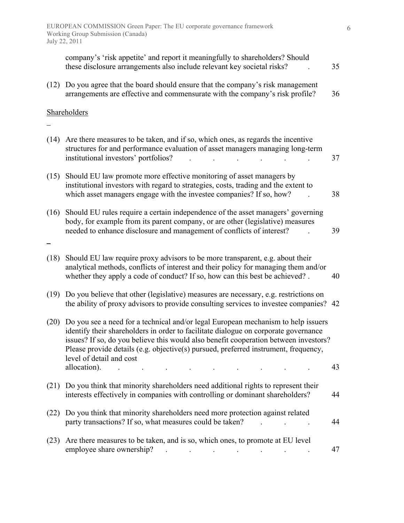|      | company's 'risk appetite' and report it meaningfully to shareholders? Should<br>these disclosure arrangements also include relevant key societal risks?                                                                                                                                                                                                                                                                                                                | 35 |
|------|------------------------------------------------------------------------------------------------------------------------------------------------------------------------------------------------------------------------------------------------------------------------------------------------------------------------------------------------------------------------------------------------------------------------------------------------------------------------|----|
| (12) | Do you agree that the board should ensure that the company's risk management<br>arrangements are effective and commensurate with the company's risk profile?                                                                                                                                                                                                                                                                                                           | 36 |
|      | Shareholders                                                                                                                                                                                                                                                                                                                                                                                                                                                           |    |
|      |                                                                                                                                                                                                                                                                                                                                                                                                                                                                        |    |
| (14) | Are there measures to be taken, and if so, which ones, as regards the incentive<br>structures for and performance evaluation of asset managers managing long-term<br>institutional investors' portfolios?                                                                                                                                                                                                                                                              | 37 |
| (15) | Should EU law promote more effective monitoring of asset managers by<br>institutional investors with regard to strategies, costs, trading and the extent to<br>which asset managers engage with the investee companies? If so, how?                                                                                                                                                                                                                                    | 38 |
| (16) | Should EU rules require a certain independence of the asset managers' governing<br>body, for example from its parent company, or are other (legislative) measures<br>needed to enhance disclosure and management of conflicts of interest?                                                                                                                                                                                                                             | 39 |
|      |                                                                                                                                                                                                                                                                                                                                                                                                                                                                        |    |
| (18) | Should EU law require proxy advisors to be more transparent, e.g. about their<br>analytical methods, conflicts of interest and their policy for managing them and/or<br>whether they apply a code of conduct? If so, how can this best be achieved?.                                                                                                                                                                                                                   | 40 |
| (19) | Do you believe that other (legislative) measures are necessary, e.g. restrictions on<br>the ability of proxy advisors to provide consulting services to investee companies?                                                                                                                                                                                                                                                                                            | 42 |
| (20) | Do you see a need for a technical and/or legal European mechanism to help issuers<br>identify their shareholders in order to facilitate dialogue on corporate governance<br>issues? If so, do you believe this would also benefit cooperation between investors?<br>Please provide details (e.g. objective(s) pursued, preferred instrument, frequency,<br>level of detail and cost<br>allocation).<br>the control of the control of the control of the control of the | 43 |
|      |                                                                                                                                                                                                                                                                                                                                                                                                                                                                        |    |
| (21) | Do you think that minority shareholders need additional rights to represent their<br>interests effectively in companies with controlling or dominant shareholders?                                                                                                                                                                                                                                                                                                     | 44 |
| (22) | Do you think that minority shareholders need more protection against related<br>party transactions? If so, what measures could be taken?<br>$\mathbb{R}^2$                                                                                                                                                                                                                                                                                                             | 44 |
| (23) | Are there measures to be taken, and is so, which ones, to promote at EU level<br>employee share ownership?<br>the contract of the contract of the                                                                                                                                                                                                                                                                                                                      | 47 |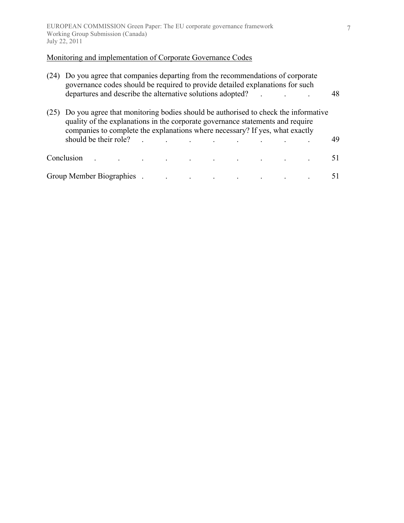# Monitoring and implementation of Corporate Governance Codes

| (24)                                                                                                                                                                                                                                                                              | Do you agree that companies departing from the recommendations of corporate<br>governance codes should be required to provide detailed explanations for such<br>departures and describe the alternative solutions adopted?     |  |  |  |  |                                                                                 |  |    | 48 |    |
|-----------------------------------------------------------------------------------------------------------------------------------------------------------------------------------------------------------------------------------------------------------------------------------|--------------------------------------------------------------------------------------------------------------------------------------------------------------------------------------------------------------------------------|--|--|--|--|---------------------------------------------------------------------------------|--|----|----|----|
| (25) Do you agree that monitoring bodies should be authorised to check the informative<br>quality of the explanations in the corporate governance statements and require<br>companies to complete the explanations where necessary? If yes, what exactly<br>should be their role? |                                                                                                                                                                                                                                |  |  |  |  |                                                                                 |  | 49 |    |    |
|                                                                                                                                                                                                                                                                                   |                                                                                                                                                                                                                                |  |  |  |  |                                                                                 |  |    |    |    |
|                                                                                                                                                                                                                                                                                   | Conclusion contract the contract of the contract of the contract of the contract of the contract of the contract of the contract of the contract of the contract of the contract of the contract of the contract of the contra |  |  |  |  |                                                                                 |  |    |    | 51 |
|                                                                                                                                                                                                                                                                                   | Group Member Biographies.                                                                                                                                                                                                      |  |  |  |  | the contract of the contract of the contract of the contract of the contract of |  |    |    |    |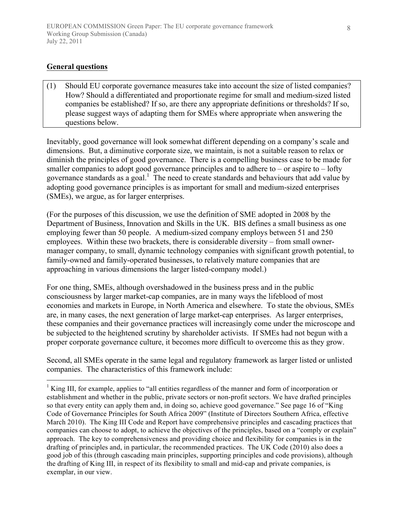# **General questions**

(1) Should EU corporate governance measures take into account the size of listed companies? How? Should a differentiated and proportionate regime for small and medium-sized listed companies be established? If so, are there any appropriate definitions or thresholds? If so, please suggest ways of adapting them for SMEs where appropriate when answering the questions below.

Inevitably, good governance will look somewhat different depending on a company's scale and dimensions. But, a diminutive corporate size, we maintain, is not a suitable reason to relax or diminish the principles of good governance. There is a compelling business case to be made for smaller companies to adopt good governance principles and to adhere to  $-$  or aspire to  $-$  lofty governance standards as a goal.<sup>1</sup> The need to create standards and behaviours that add value by adopting good governance principles is as important for small and medium-sized enterprises (SMEs), we argue, as for larger enterprises.

(For the purposes of this discussion, we use the definition of SME adopted in 2008 by the Department of Business, Innovation and Skills in the UK. BIS defines a small business as one employing fewer than 50 people. A medium-sized company employs between 51 and 250 employees. Within these two brackets, there is considerable diversity – from small ownermanager company, to small, dynamic technology companies with significant growth potential, to family-owned and family-operated businesses, to relatively mature companies that are approaching in various dimensions the larger listed-company model.)

For one thing, SMEs, although overshadowed in the business press and in the public consciousness by larger market-cap companies, are in many ways the lifeblood of most economies and markets in Europe, in North America and elsewhere. To state the obvious, SMEs are, in many cases, the next generation of large market-cap enterprises. As larger enterprises, these companies and their governance practices will increasingly come under the microscope and be subjected to the heightened scrutiny by shareholder activists. If SMEs had not begun with a proper corporate governance culture, it becomes more difficult to overcome this as they grow.

Second, all SMEs operate in the same legal and regulatory framework as larger listed or unlisted companies. The characteristics of this framework include:

<sup>&</sup>lt;sup>1</sup> King III, for example, applies to "all entities regardless of the manner and form of incorporation or establishment and whether in the public, private sectors or non-profit sectors. We have drafted principles so that every entity can apply them and, in doing so, achieve good governance." See page 16 of "King Code of Governance Principles for South Africa 2009" (Institute of Directors Southern Africa, effective March 2010). The King III Code and Report have comprehensive principles and cascading practices that companies can choose to adopt, to achieve the objectives of the principles, based on a "comply or explain" approach. The key to comprehensiveness and providing choice and flexibility for companies is in the drafting of principles and, in particular, the recommended practices. The UK Code (2010) also does a good job of this (through cascading main principles, supporting principles and code provisions), although the drafting of King III, in respect of its flexibility to small and mid-cap and private companies, is exemplar, in our view.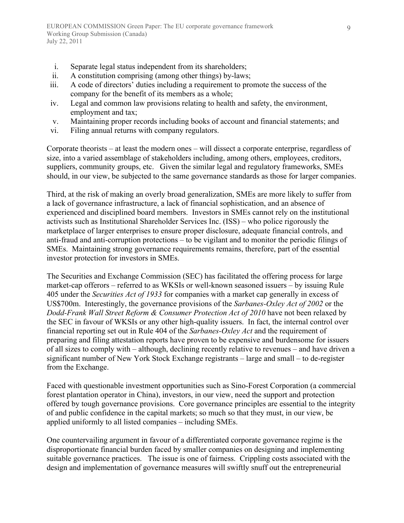- i. Separate legal status independent from its shareholders;
- ii. A constitution comprising (among other things) by-laws;
- iii. A code of directors' duties including a requirement to promote the success of the company for the benefit of its members as a whole;
- iv. Legal and common law provisions relating to health and safety, the environment, employment and tax;
- v. Maintaining proper records including books of account and financial statements; and
- vi. Filing annual returns with company regulators.

Corporate theorists – at least the modern ones – will dissect a corporate enterprise, regardless of size, into a varied assemblage of stakeholders including, among others, employees, creditors, suppliers, community groups, etc. Given the similar legal and regulatory frameworks, SMEs should, in our view, be subjected to the same governance standards as those for larger companies.

Third, at the risk of making an overly broad generalization, SMEs are more likely to suffer from a lack of governance infrastructure, a lack of financial sophistication, and an absence of experienced and disciplined board members. Investors in SMEs cannot rely on the institutional activists such as Institutional Shareholder Services Inc. (ISS) – who police rigorously the marketplace of larger enterprises to ensure proper disclosure, adequate financial controls, and anti-fraud and anti-corruption protections – to be vigilant and to monitor the periodic filings of SMEs. Maintaining strong governance requirements remains, therefore, part of the essential investor protection for investors in SMEs.

The Securities and Exchange Commission (SEC) has facilitated the offering process for large market-cap offerors – referred to as WKSIs or well-known seasoned issuers – by issuing Rule 405 under the *Securities Act of 1933* for companies with a market cap generally in excess of US\$700m. Interestingly, the governance provisions of the *Sarbanes-Oxley Act of 2002* or the *Dodd-Frank Wall Street Reform & Consumer Protection Act of 2010* have not been relaxed by the SEC in favour of WKSIs or any other high-quality issuers. In fact, the internal control over financial reporting set out in Rule 404 of the *Sarbanes-Oxley Act* and the requirement of preparing and filing attestation reports have proven to be expensive and burdensome for issuers of all sizes to comply with – although, declining recently relative to revenues – and have driven a significant number of New York Stock Exchange registrants – large and small – to de-register from the Exchange.

Faced with questionable investment opportunities such as Sino-Forest Corporation (a commercial forest plantation operator in China), investors, in our view, need the support and protection offered by tough governance provisions. Core governance principles are essential to the integrity of and public confidence in the capital markets; so much so that they must, in our view, be applied uniformly to all listed companies – including SMEs.

One countervailing argument in favour of a differentiated corporate governance regime is the disproportionate financial burden faced by smaller companies on designing and implementing suitable governance practices. The issue is one of fairness. Crippling costs associated with the design and implementation of governance measures will swiftly snuff out the entrepreneurial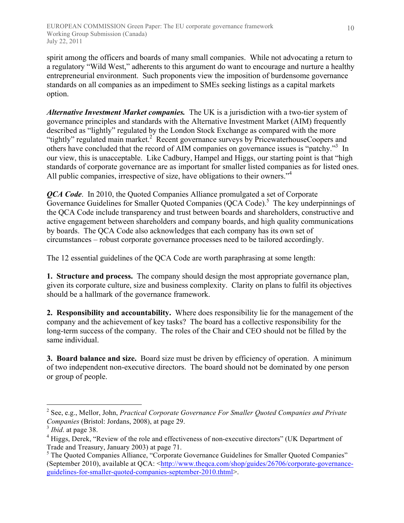spirit among the officers and boards of many small companies. While not advocating a return to a regulatory "Wild West," adherents to this argument do want to encourage and nurture a healthy entrepreneurial environment. Such proponents view the imposition of burdensome governance standards on all companies as an impediment to SMEs seeking listings as a capital markets option.

*Alternative Investment Market companies.* The UK is a jurisdiction with a two-tier system of governance principles and standards with the Alternative Investment Market (AIM) frequently described as "lightly" regulated by the London Stock Exchange as compared with the more "tightly" regulated main market.<sup>2</sup> Recent governance surveys by PricewaterhouseCoopers and others have concluded that the record of AIM companies on governance issues is "patchy."<sup>3</sup> In our view, this is unacceptable. Like Cadbury, Hampel and Higgs, our starting point is that "high standards of corporate governance are as important for smaller listed companies as for listed ones. All public companies, irrespective of size, have obligations to their owners."<sup>4</sup>

*OCA Code*. In 2010, the Quoted Companies Alliance promulgated a set of Corporate Governance Guidelines for Smaller Quoted Companies (QCA Code).<sup>5</sup> The key underpinnings of the QCA Code include transparency and trust between boards and shareholders, constructive and active engagement between shareholders and company boards, and high quality communications by boards. The QCA Code also acknowledges that each company has its own set of circumstances – robust corporate governance processes need to be tailored accordingly.

The 12 essential guidelines of the QCA Code are worth paraphrasing at some length:

**1. Structure and process.** The company should design the most appropriate governance plan, given its corporate culture, size and business complexity. Clarity on plans to fulfil its objectives should be a hallmark of the governance framework.

**2. Responsibility and accountability.** Where does responsibility lie for the management of the company and the achievement of key tasks? The board has a collective responsibility for the long-term success of the company. The roles of the Chair and CEO should not be filled by the same individual.

**3. Board balance and size.** Board size must be driven by efficiency of operation. A minimum of two independent non-executive directors. The board should not be dominated by one person or group of people.

<sup>2</sup> See, e.g., Mellor, John, *Practical Corporate Governance For Smaller Quoted Companies and Private Companies* (Bristol: Jordans, 2008), at page 29.

<sup>3</sup> *Ibid*. at page 38.

<sup>&</sup>lt;sup>4</sup> Higgs, Derek, "Review of the role and effectiveness of non-executive directors" (UK Department of Trade and Treasury, January 2003) at page 71.

<sup>&</sup>lt;sup>5</sup> The Quoted Companies Alliance, "Corporate Governance Guidelines for Smaller Quoted Companies" (September 2010), available at QCA: <http://www.theqca.com/shop/guides/26706/corporate-governanceguidelines-for-smaller-quoted-companies-september-2010.thtml>.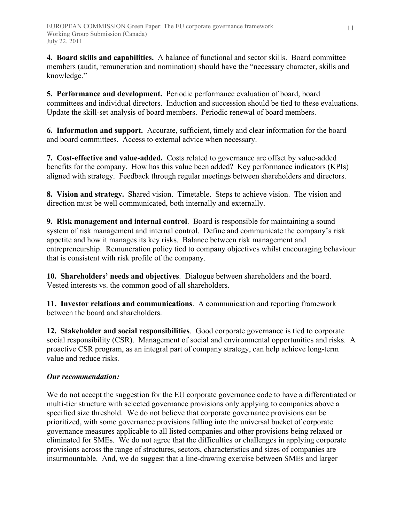**4. Board skills and capabilities.** A balance of functional and sector skills. Board committee members (audit, remuneration and nomination) should have the "necessary character, skills and knowledge."

**5. Performance and development.** Periodic performance evaluation of board, board committees and individual directors. Induction and succession should be tied to these evaluations. Update the skill-set analysis of board members. Periodic renewal of board members.

**6. Information and support.** Accurate, sufficient, timely and clear information for the board and board committees. Access to external advice when necessary.

**7. Cost-effective and value-added.** Costs related to governance are offset by value-added benefits for the company. How has this value been added? Key performance indicators (KPIs) aligned with strategy. Feedback through regular meetings between shareholders and directors.

**8. Vision and strategy.** Shared vision. Timetable. Steps to achieve vision. The vision and direction must be well communicated, both internally and externally.

**9. Risk management and internal control**. Board is responsible for maintaining a sound system of risk management and internal control. Define and communicate the company's risk appetite and how it manages its key risks. Balance between risk management and entrepreneurship. Remuneration policy tied to company objectives whilst encouraging behaviour that is consistent with risk profile of the company.

**10. Shareholders' needs and objectives**. Dialogue between shareholders and the board. Vested interests vs. the common good of all shareholders.

**11. Investor relations and communications**. A communication and reporting framework between the board and shareholders.

**12. Stakeholder and social responsibilities**. Good corporate governance is tied to corporate social responsibility (CSR). Management of social and environmental opportunities and risks. A proactive CSR program, as an integral part of company strategy, can help achieve long-term value and reduce risks.

# *Our recommendation:*

We do not accept the suggestion for the EU corporate governance code to have a differentiated or multi-tier structure with selected governance provisions only applying to companies above a specified size threshold. We do not believe that corporate governance provisions can be prioritized, with some governance provisions falling into the universal bucket of corporate governance measures applicable to all listed companies and other provisions being relaxed or eliminated for SMEs. We do not agree that the difficulties or challenges in applying corporate provisions across the range of structures, sectors, characteristics and sizes of companies are insurmountable. And, we do suggest that a line-drawing exercise between SMEs and larger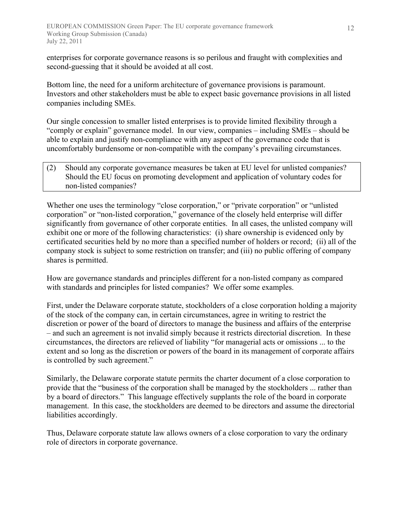enterprises for corporate governance reasons is so perilous and fraught with complexities and second-guessing that it should be avoided at all cost.

Bottom line, the need for a uniform architecture of governance provisions is paramount. Investors and other stakeholders must be able to expect basic governance provisions in all listed companies including SMEs.

Our single concession to smaller listed enterprises is to provide limited flexibility through a "comply or explain" governance model. In our view, companies – including SMEs – should be able to explain and justify non-compliance with any aspect of the governance code that is uncomfortably burdensome or non-compatible with the company's prevailing circumstances.

(2) Should any corporate governance measures be taken at EU level for unlisted companies? Should the EU focus on promoting development and application of voluntary codes for non-listed companies?

Whether one uses the terminology "close corporation," or "private corporation" or "unlisted corporation" or "non-listed corporation," governance of the closely held enterprise will differ significantly from governance of other corporate entities. In all cases, the unlisted company will exhibit one or more of the following characteristics: (i) share ownership is evidenced only by certificated securities held by no more than a specified number of holders or record; (ii) all of the company stock is subject to some restriction on transfer; and (iii) no public offering of company shares is permitted.

How are governance standards and principles different for a non-listed company as compared with standards and principles for listed companies? We offer some examples.

First, under the Delaware corporate statute, stockholders of a close corporation holding a majority of the stock of the company can, in certain circumstances, agree in writing to restrict the discretion or power of the board of directors to manage the business and affairs of the enterprise – and such an agreement is not invalid simply because it restricts directorial discretion. In these circumstances, the directors are relieved of liability "for managerial acts or omissions ... to the extent and so long as the discretion or powers of the board in its management of corporate affairs is controlled by such agreement."

Similarly, the Delaware corporate statute permits the charter document of a close corporation to provide that the "business of the corporation shall be managed by the stockholders ... rather than by a board of directors." This language effectively supplants the role of the board in corporate management. In this case, the stockholders are deemed to be directors and assume the directorial liabilities accordingly.

Thus, Delaware corporate statute law allows owners of a close corporation to vary the ordinary role of directors in corporate governance.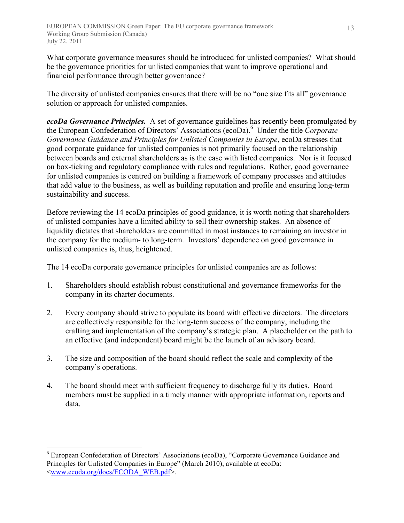What corporate governance measures should be introduced for unlisted companies? What should be the governance priorities for unlisted companies that want to improve operational and financial performance through better governance?

The diversity of unlisted companies ensures that there will be no "one size fits all" governance solution or approach for unlisted companies.

*ecoDa Governance Principles.* A set of governance guidelines has recently been promulgated by the European Confederation of Directors' Associations (ecoDa).<sup>6</sup> Under the title *Corporate Governance Guidance and Principles for Unlisted Companies in Europe*, ecoDa stresses that good corporate guidance for unlisted companies is not primarily focused on the relationship between boards and external shareholders as is the case with listed companies. Nor is it focused on box-ticking and regulatory compliance with rules and regulations. Rather, good governance for unlisted companies is centred on building a framework of company processes and attitudes that add value to the business, as well as building reputation and profile and ensuring long-term sustainability and success.

Before reviewing the 14 ecoDa principles of good guidance, it is worth noting that shareholders of unlisted companies have a limited ability to sell their ownership stakes. An absence of liquidity dictates that shareholders are committed in most instances to remaining an investor in the company for the medium- to long-term. Investors' dependence on good governance in unlisted companies is, thus, heightened.

The 14 ecoDa corporate governance principles for unlisted companies are as follows:

- 1. Shareholders should establish robust constitutional and governance frameworks for the company in its charter documents.
- 2. Every company should strive to populate its board with effective directors. The directors are collectively responsible for the long-term success of the company, including the crafting and implementation of the company's strategic plan. A placeholder on the path to an effective (and independent) board might be the launch of an advisory board.
- 3. The size and composition of the board should reflect the scale and complexity of the company's operations.
- 4. The board should meet with sufficient frequency to discharge fully its duties. Board members must be supplied in a timely manner with appropriate information, reports and data.

<sup>&</sup>lt;sup>6</sup> European Confederation of Directors' Associations (ecoDa), "Corporate Governance Guidance and Principles for Unlisted Companies in Europe" (March 2010), available at ecoDa: <www.ecoda.org/docs/ECODA\_WEB.pdf*>.*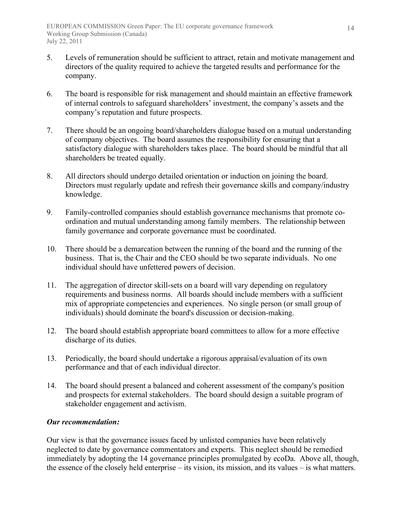- 5. Levels of remuneration should be sufficient to attract, retain and motivate management and directors of the quality required to achieve the targeted results and performance for the company.
- 6. The board is responsible for risk management and should maintain an effective framework of internal controls to safeguard shareholders' investment, the company's assets and the company's reputation and future prospects.
- 7. There should be an ongoing board/shareholders dialogue based on a mutual understanding of company objectives. The board assumes the responsibility for ensuring that a satisfactory dialogue with shareholders takes place. The board should be mindful that all shareholders be treated equally.
- 8. All directors should undergo detailed orientation or induction on joining the board. Directors must regularly update and refresh their governance skills and company/industry knowledge.
- 9. Family-controlled companies should establish governance mechanisms that promote coordination and mutual understanding among family members. The relationship between family governance and corporate governance must be coordinated.
- 10. There should be a demarcation between the running of the board and the running of the business. That is, the Chair and the CEO should be two separate individuals. No one individual should have unfettered powers of decision.
- 11. The aggregation of director skill-sets on a board will vary depending on regulatory requirements and business norms. All boards should include members with a sufficient mix of appropriate competencies and experiences. No single person (or small group of individuals) should dominate the board's discussion or decision-making.
- 12. The board should establish appropriate board committees to allow for a more effective discharge of its duties.
- 13. Periodically, the board should undertake a rigorous appraisal/evaluation of its own performance and that of each individual director.
- 14. The board should present a balanced and coherent assessment of the company's position and prospects for external stakeholders. The board should design a suitable program of stakeholder engagement and activism.

# *Our recommendation:*

Our view is that the governance issues faced by unlisted companies have been relatively neglected to date by governance commentators and experts. This neglect should be remedied immediately by adopting the 14 governance principles promulgated by ecoDa. Above all, though, the essence of the closely held enterprise – its vision, its mission, and its values – is what matters.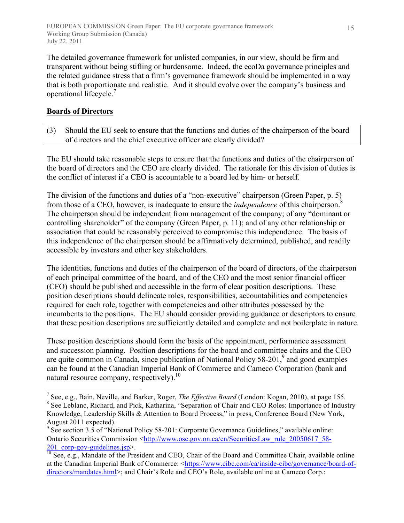The detailed governance framework for unlisted companies, in our view, should be firm and transparent without being stifling or burdensome. Indeed, the ecoDa governance principles and the related guidance stress that a firm's governance framework should be implemented in a way that is both proportionate and realistic. And it should evolve over the company's business and operational lifecycle. 7

# **Boards of Directors**

(3) Should the EU seek to ensure that the functions and duties of the chairperson of the board of directors and the chief executive officer are clearly divided?

The EU should take reasonable steps to ensure that the functions and duties of the chairperson of the board of directors and the CEO are clearly divided. The rationale for this division of duties is the conflict of interest if a CEO is accountable to a board led by him- or herself.

The division of the functions and duties of a "non-executive" chairperson (Green Paper, p. 5) from those of a CEO, however, is inadequate to ensure the *independence* of this chairperson.<sup>8</sup> The chairperson should be independent from management of the company; of any "dominant or controlling shareholder" of the company (Green Paper, p. 11); and of any other relationship or association that could be reasonably perceived to compromise this independence. The basis of this independence of the chairperson should be affirmatively determined, published, and readily accessible by investors and other key stakeholders.

The identities, functions and duties of the chairperson of the board of directors, of the chairperson of each principal committee of the board, and of the CEO and the most senior financial officer (CFO) should be published and accessible in the form of clear position descriptions. These position descriptions should delineate roles, responsibilities, accountabilities and competencies required for each role, together with competencies and other attributes possessed by the incumbents to the positions. The EU should consider providing guidance or descriptors to ensure that these position descriptions are sufficiently detailed and complete and not boilerplate in nature.

These position descriptions should form the basis of the appointment, performance assessment and succession planning. Position descriptions for the board and committee chairs and the CEO are quite common in Canada, since publication of National Policy  $58-201$ ,  $9$  and good examples can be found at the Canadian Imperial Bank of Commerce and Cameco Corporation (bank and natural resource company, respectively). $^{10}$ 

<sup>7</sup> See, e.g., Bain, Neville, and Barker, Roger, *The Effective Board* (London: Kogan, 2010), at page 155. <sup>8</sup> See Leblanc, Richard, and Pick, Katharina, "Separation of Chair and CEO Roles: Importance of Industry

Knowledge, Leadership Skills & Attention to Board Process," in press, Conference Board (New York, August 2011 expected).

 $9$  See section 3.5 of "National Policy 58-201: Corporate Governance Guidelines," available online: Ontario Securities Commission <http://www.osc.gov.on.ca/en/SecuritiesLaw\_rule\_20050617\_58-201 corp-gov-guidelines.jsp>.

<sup>&</sup>lt;sup>10</sup> See, e.g., Mandate of the President and CEO, Chair of the Board and Committee Chair, available online at the Canadian Imperial Bank of Commerce: <https://www.cibc.com/ca/inside-cibc/governance/board-ofdirectors/mandates.html>; and Chair's Role and CEO's Role, available online at Cameco Corp.: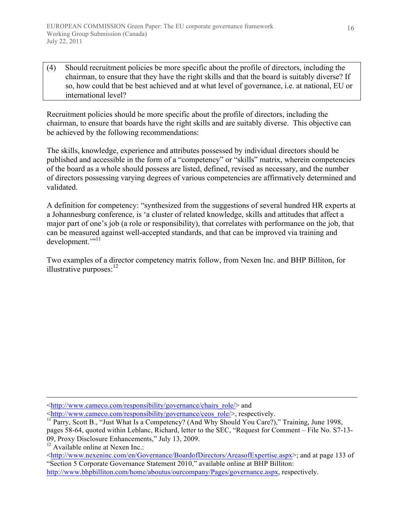(4) Should recruitment policies be more specific about the profile of directors, including the chairman, to ensure that they have the right skills and that the board is suitably diverse? If so, how could that be best achieved and at what level of governance, i.e. at national, EU or international level?

Recruitment policies should be more specific about the profile of directors, including the chairman, to ensure that boards have the right skills and are suitably diverse. This objective can be achieved by the following recommendations:

The skills, knowledge, experience and attributes possessed by individual directors should be published and accessible in the form of a "competency" or "skills" matrix, wherein competencies of the board as a whole should possess are listed, defined, revised as necessary, and the number of directors possessing varying degrees of various competencies are affirmatively determined and validated.

A definition for competency: "synthesized from the suggestions of several hundred HR experts at a Johannesburg conference, is 'a cluster of related knowledge, skills and attitudes that affect a major part of one's job (a role or responsibility), that correlates with performance on the job, that can be measured against well-accepted standards, and that can be improved via training and development."<sup>11</sup>

Two examples of a director competency matrix follow, from Nexen Inc. and BHP Billiton, for illustrative purposes: $12$ 

<http://www.cameco.com/responsibility/governance/chairs\_role/> and

<http://www.cameco.com/responsibility/governance/ceos\_role/>, respectively.

 $12$  Available online at Nexen Inc.:

<u>.</u>

<sup>&</sup>lt;sup>11</sup> Parry, Scott B., "Just What Is a Competency? (And Why Should You Care?)," Training, June 1998, pages 58-64, quoted within Leblanc, Richard, letter to the SEC, "Request for Comment – File No. S7-13- 09, Proxy Disclosure Enhancements," July 13, 2009.

<sup>&</sup>lt;http://www.nexeninc.com/en/Governance/BoardofDirectors/AreasofExpertise.aspx>; and at page 133 of "Section 5 Corporate Governance Statement 2010," available online at BHP Billiton: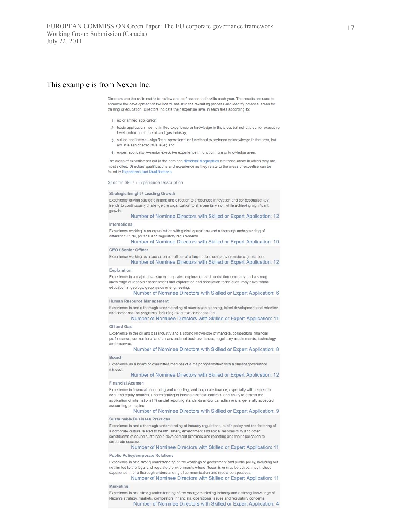### This example is from Nexen Inc:

Directors use the skills matrix to review and self-assess their skills each year. The results are used to enhance the development of the board, assist in the recruiting process and identify potential areas for training or education. Directors indicate their expertise level in each area according to:

- 1. no or limited application;
- 2. basic application-some limited experience or knowledge in the area, but not at a senior executive level and/or not in the oil and gas industry;
- 3. skilled application-significant operational or functional experience or knowledge in the area, but not at a senior executive level; and
- 4 expert application-senior executive experience in function, role or knowledge area.

The areas of expertise set out in the nominee directors' biographies are those areas in which they are most skilled. Directors' qualifications and experience as they relate to the areas of expertise can be found in Experience and Qualifications.

Specific Skills / Experience Description

#### Strategic Insight / Leading Growth

Experience driving strategic insight and direction to encourage innovation and conceptualize key trends to continuously challenge the organization to sharpen its vision while achieving significant growth.

# Number of Nominee Directors with Skilled or Expert Application: 12

#### International

Experience working in an organization with global operations and a thorough understanding of different cultural, political and regulatory requirements.

# Number of Nominee Directors with Skilled or Expert Application: 10

### CEO / Senior Officer

Experience working as a ceo or senior officer of a large public company or major organization. Number of Nominee Directors with Skilled or Expert Application: 12

#### Exploration

Experience in a major upstream or integrated exploration and production company and a strong knowledge of reservoir assessment and exploration and production techniques. may have formal education in geology, geophysics or engineering.

# Number of Nominee Directors with Skilled or Expert Application: 6

#### Human Resource Management

Experience in and a thorough understanding of succession planning, talent development and retention and compensation programs, including executive compensation

Number of Nominee Directors with Skilled or Expert Application: 11

### Oil and Gas

Experience in the oil and gas industry and a strong knowledge of markets, competitors, financial performance, conventional and unconventional business issues, regulatory requirements, technology and reserves

# Number of Nominee Directors with Skilled or Expert Application: 8

### Board

Experience as a board or committee member of a major organization with a current governance mindset.

### Number of Nominee Directors with Skilled or Expert Application: 12

#### **Financial Acumen**

Experience in financial accounting and reporting, and corporate finance, especially with respect to debt and equity markets, understanding of internal financial controls, and ability to assess the application of international Financial reporting standards and/or canadian or u.s. generally accepted accounting principles

#### Number of Nominee Directors with Skilled or Expert Application: 9

#### Sustainable Business Practices

Experience in and a thorough understanding of industry regulations, public policy and the fostering of a corporate culture related to health, safety, environment and social responsibility and other constituents of sound sustainable development practices and reporting and their application to corporate success

#### Number of Nominee Directors with Skilled or Expert Application: 11

#### Public Policy/corporate Relations

Experience in or a strong understanding of the workings of government and public policy, including but not limited to the legal and regulatory environments where Nexen is or may be active. may include experience in or a thorough understanding of communication and media perspectives

### Number of Nominee Directors with Skilled or Expert Application: 11 Marketing

Experience in or a strong understanding of the energy marketing industry and a strong knowledge of Nexen's strategy, markets, competitors, financials, operational issues and regulatory concerns Number of Nominee Directors with Skilled or Expert Application: 4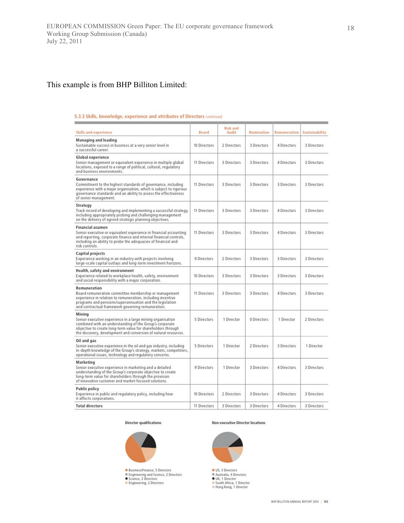# This example is from BHP Billiton Limited:

### 5.3.3 Skills, knowledge, experience and attributes of Directors continued

| <b>Skills and experience</b>                                                                                                                                                                                                                                       | Board        | Risk and<br>Audit | Nomination  | Remuneration | Sustainability |
|--------------------------------------------------------------------------------------------------------------------------------------------------------------------------------------------------------------------------------------------------------------------|--------------|-------------------|-------------|--------------|----------------|
| Managing and leading<br>Sustainable success in business at a very senior level in<br>a successful career.                                                                                                                                                          | 10 Directors | 2 Directors       | 3 Directors | 4 Directors  | 3 Directors    |
| <b>Global experience</b><br>Senior management or equivalent experience in multiple global<br>locations, exposed to a range of political, cultural, regulatory<br>and business environments.                                                                        | 11 Directors | 3 Directors       | 3 Directors | 4 Directors  | 3 Directors    |
| Governance<br>Commitment to the highest standards of governance, including<br>experience with a major organisation, which is subject to rigorous<br>governance standards and an ability to assess the effectiveness<br>of senior management.                       | 11 Directors | 3 Directors       | 3 Directors | 3 Directors  | 3 Directors    |
| Strategy<br>Track record of developing and implementing a successful strategy,<br>including appropriately probing and challenging management<br>on the delivery of agreed strategic planning objectives.                                                           | 11 Directors | 3 Directors       | 3 Directors | 4 Directors  | 3 Directors    |
| Financial acumen<br>Senior executive or equivalent experience in financial accounting<br>and reporting, corporate finance and internal financial controls,<br>including an ability to probe the adequacies of financial and<br>risk controls.                      | 11 Directors | 3 Directors       | 3 Directors | 4 Directors  | 3 Directors    |
| Capital projects<br>Experience working in an industry with projects involving<br>large-scale capital outlays and long-term investment horizons.                                                                                                                    | 9 Directors  | 2 Directors       | 3 Directors | 3 Directors  | 3 Directors    |
| Health, safety and environment<br>Experience related to workplace health, safety, environment<br>and social responsibility with a major corporation.                                                                                                               | 10 Directors | 3 Directors       | 3 Directors | 3 Directors  | 3 Directors    |
| Remuneration<br>Board remuneration committee membership or management<br>experience in relation to remuneration, including incentive<br>programs and pensions/superannuation and the legislation<br>and contractual framework governing remuneration.              | 11 Directors | 3 Directors       | 3 Directors | 4 Directors  | 3 Directors    |
| Mining<br>Senior executive experience in a large mining organisation<br>combined with an understanding of the Group's corporate<br>objective to create long-term value for shareholders through<br>the discovery, development and conversion of natural resources. | 5 Directors  | 1 Director        | 0 Directors | 1 Director   | 2 Directors    |
| Oil and gas<br>Senior executive experience in the oil and gas industry, including<br>in-depth knowledge of the Group's strategy, markets, competitors,<br>operational issues, technology and regulatory concerns.                                                  | 5 Directors  | 1 Director        | 2 Directors | 3 Directors  | 1 Director     |
| Marketing<br>Senior executive experience in marketing and a detailed<br>understanding of the Group's corporate objective to create<br>long-term value for shareholders through the provision<br>of innovative customer and market-focused solutions.               | 9 Directors  | 1 Director        | 3 Directors | 4 Directors  | 3 Directors    |
| Public policy<br>Experience in public and regulatory policy, including how<br>it affects corporations.                                                                                                                                                             | 10 Directors | 2 Directors       | 3 Directors | 4 Directors  | 3 Directors    |
| <b>Total directors</b>                                                                                                                                                                                                                                             | 11 Directors | 3 Directors       | 3 Directors | 4 Directors  | 3 Directors    |

### **Director qualifications**



● Business/Finance, 5 Directors<br>● Engineering and Science, 2 Directors<br>● Science, 2 Directors<br>● Engineering, 2 Directors

### **Non-executive Director locations**



• US, 3 Directors<br>• Australia, 4 Directors<br>• UK, 1 Director<br>• South Africa, 1 Director<br>• Hong Kong, 1 Director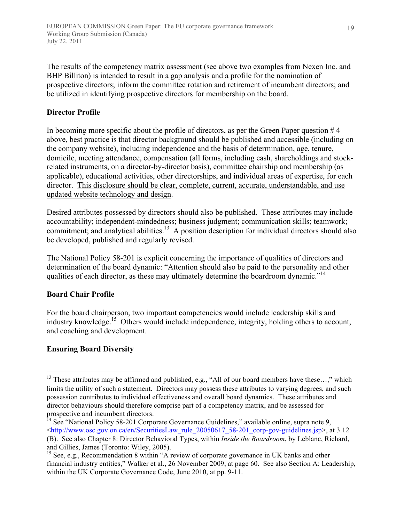The results of the competency matrix assessment (see above two examples from Nexen Inc. and BHP Billiton) is intended to result in a gap analysis and a profile for the nomination of prospective directors; inform the committee rotation and retirement of incumbent directors; and be utilized in identifying prospective directors for membership on the board.

# **Director Profile**

In becoming more specific about the profile of directors, as per the Green Paper question #4 above, best practice is that director background should be published and accessible (including on the company website), including independence and the basis of determination, age, tenure, domicile, meeting attendance, compensation (all forms, including cash, shareholdings and stockrelated instruments, on a director-by-director basis), committee chairship and membership (as applicable), educational activities, other directorships, and individual areas of expertise, for each director. This disclosure should be clear, complete, current, accurate, understandable, and use updated website technology and design.

Desired attributes possessed by directors should also be published. These attributes may include accountability; independent-mindedness; business judgment; communication skills; teamwork; commitment; and analytical abilities.<sup>13</sup> A position description for individual directors should also be developed, published and regularly revised.

The National Policy 58-201 is explicit concerning the importance of qualities of directors and determination of the board dynamic: "Attention should also be paid to the personality and other qualities of each director, as these may ultimately determine the boardroom dynamic."<sup>14</sup>

# **Board Chair Profile**

For the board chairperson, two important competencies would include leadership skills and industry knowledge.15 Others would include independence, integrity, holding others to account, and coaching and development.

# **Ensuring Board Diversity**

<sup>&</sup>lt;sup>13</sup> These attributes may be affirmed and published, e.g., "All of our board members have these...," which limits the utility of such a statement. Directors may possess these attributes to varying degrees, and such possession contributes to individual effectiveness and overall board dynamics. These attributes and director behaviours should therefore comprise part of a competency matrix, and be assessed for prospective and incumbent directors.

<sup>&</sup>lt;sup>14</sup> See "National Policy 58-201 Corporate Governance Guidelines," available online, supra note 9, <http://www.osc.gov.on.ca/en/SecuritiesLaw\_rule\_20050617\_58-201\_corp-gov-guidelines.jsp>, at 3.12 (B). See also Chapter 8: Director Behavioral Types, within *Inside the Boardroom*, by Leblanc, Richard, and Gillies, James (Toronto: Wiley, 2005).

<sup>&</sup>lt;sup>15</sup> See, e.g., Recommendation 8 within "A review of corporate governance in UK banks and other financial industry entities," Walker et al., 26 November 2009, at page 60. See also Section A: Leadership, within the UK Corporate Governance Code, June 2010, at pp. 9-11.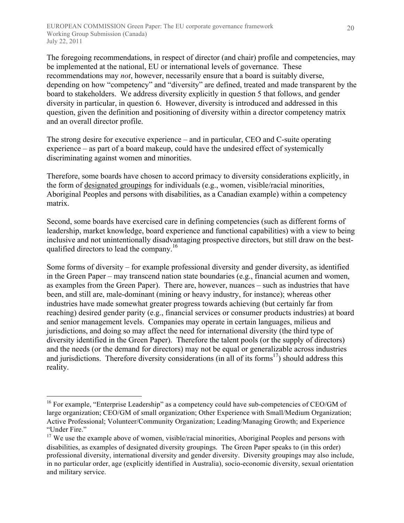The foregoing recommendations, in respect of director (and chair) profile and competencies, may be implemented at the national, EU or international levels of governance. These recommendations may *not*, however, necessarily ensure that a board is suitably diverse, depending on how "competency" and "diversity" are defined, treated and made transparent by the board to stakeholders. We address diversity explicitly in question 5 that follows, and gender diversity in particular, in question 6. However, diversity is introduced and addressed in this question, given the definition and positioning of diversity within a director competency matrix and an overall director profile.

The strong desire for executive experience – and in particular, CEO and C-suite operating experience – as part of a board makeup, could have the undesired effect of systemically discriminating against women and minorities.

Therefore, some boards have chosen to accord primacy to diversity considerations explicitly, in the form of designated groupings for individuals (e.g., women, visible/racial minorities, Aboriginal Peoples and persons with disabilities, as a Canadian example) within a competency matrix.

Second, some boards have exercised care in defining competencies (such as different forms of leadership, market knowledge, board experience and functional capabilities) with a view to being inclusive and not unintentionally disadvantaging prospective directors, but still draw on the bestqualified directors to lead the company.<sup>16</sup>

Some forms of diversity – for example professional diversity and gender diversity, as identified in the Green Paper – may transcend nation state boundaries (e.g., financial acumen and women, as examples from the Green Paper). There are, however, nuances – such as industries that have been, and still are, male-dominant (mining or heavy industry, for instance); whereas other industries have made somewhat greater progress towards achieving (but certainly far from reaching) desired gender parity (e.g., financial services or consumer products industries) at board and senior management levels. Companies may operate in certain languages, milieus and jurisdictions, and doing so may affect the need for international diversity (the third type of diversity identified in the Green Paper). Therefore the talent pools (or the supply of directors) and the needs (or the demand for directors) may not be equal or generalizable across industries and jurisdictions. Therefore diversity considerations (in all of its forms<sup>17</sup>) should address this reality.

 $16$  For example, "Enterprise Leadership" as a competency could have sub-competencies of CEO/GM of large organization; CEO/GM of small organization; Other Experience with Small/Medium Organization; Active Professional; Volunteer/Community Organization; Leading/Managing Growth; and Experience "Under Fire."

<sup>&</sup>lt;sup>17</sup> We use the example above of women, visible/racial minorities, Aboriginal Peoples and persons with disabilities, as examples of designated diversity groupings. The Green Paper speaks to (in this order) professional diversity, international diversity and gender diversity. Diversity groupings may also include, in no particular order, age (explicitly identified in Australia), socio-economic diversity, sexual orientation and military service.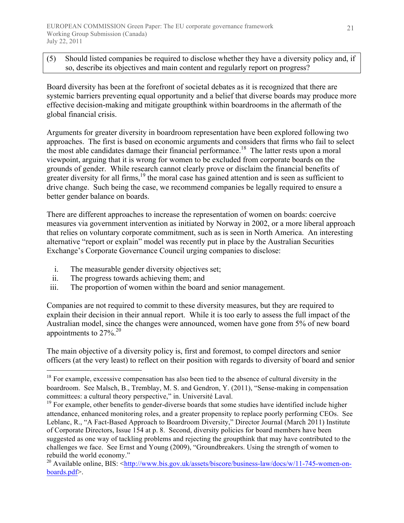# (5) Should listed companies be required to disclose whether they have a diversity policy and, if so, describe its objectives and main content and regularly report on progress?

Board diversity has been at the forefront of societal debates as it is recognized that there are systemic barriers preventing equal opportunity and a belief that diverse boards may produce more effective decision-making and mitigate groupthink within boardrooms in the aftermath of the global financial crisis.

Arguments for greater diversity in boardroom representation have been explored following two approaches. The first is based on economic arguments and considers that firms who fail to select the most able candidates damage their financial performance.<sup>18</sup> The latter rests upon a moral viewpoint, arguing that it is wrong for women to be excluded from corporate boards on the grounds of gender. While research cannot clearly prove or disclaim the financial benefits of greater diversity for all firms,  $19$  the moral case has gained attention and is seen as sufficient to drive change. Such being the case, we recommend companies be legally required to ensure a better gender balance on boards.

There are different approaches to increase the representation of women on boards: coercive measures via government intervention as initiated by Norway in 2002, or a more liberal approach that relies on voluntary corporate commitment, such as is seen in North America. An interesting alternative "report or explain" model was recently put in place by the Australian Securities Exchange's Corporate Governance Council urging companies to disclose:

- i. The measurable gender diversity objectives set;
- ii. The progress towards achieving them; and
- iii. The proportion of women within the board and senior management.

Companies are not required to commit to these diversity measures, but they are required to explain their decision in their annual report. While it is too early to assess the full impact of the Australian model, since the changes were announced, women have gone from 5% of new board appointments to  $27\%$ <sup>20</sup>

The main objective of a diversity policy is, first and foremost, to compel directors and senior officers (at the very least) to reflect on their position with regards to diversity of board and senior

 $18$  For example, excessive compensation has also been tied to the absence of cultural diversity in the boardroom. See Malsch, B., Tremblay, M. S. and Gendron, Y. (2011), "Sense-making in compensation committees: a cultural theory perspective," in. Université Laval.

<sup>&</sup>lt;sup>19</sup> For example, other benefits to gender-diverse boards that some studies have identified include higher attendance, enhanced monitoring roles, and a greater propensity to replace poorly performing CEOs. See Leblanc, R., "A Fact-Based Approach to Boardroom Diversity," Director Journal (March 2011) Institute of Corporate Directors, Issue 154 at p. 8. Second, diversity policies for board members have been suggested as one way of tackling problems and rejecting the groupthink that may have contributed to the challenges we face. See Ernst and Young (2009), "Groundbreakers. Using the strength of women to rebuild the world economy."

<sup>&</sup>lt;sup>20</sup> Available online, BIS: <http://www.bis.gov.uk/assets/biscore/business-law/docs/w/11-745-women-onboards.pdf>.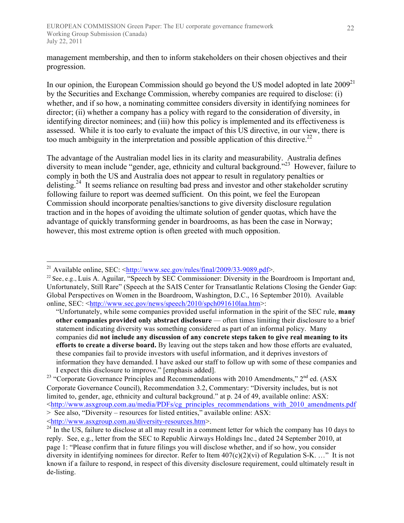management membership, and then to inform stakeholders on their chosen objectives and their progression.

In our opinion, the European Commission should go beyond the US model adopted in late  $2009<sup>21</sup>$ by the Securities and Exchange Commission, whereby companies are required to disclose: (i) whether, and if so how, a nominating committee considers diversity in identifying nominees for director; (ii) whether a company has a policy with regard to the consideration of diversity, in identifying director nominees; and (iii) how this policy is implemented and its effectiveness is assessed. While it is too early to evaluate the impact of this US directive, in our view, there is too much ambiguity in the interpretation and possible application of this directive.<sup>22</sup>

The advantage of the Australian model lies in its clarity and measurability. Australia defines diversity to mean include "gender, age, ethnicity and cultural background."<sup>23</sup> However, failure to comply in both the US and Australia does not appear to result in regulatory penalties or delisting.<sup>24</sup> It seems reliance on resulting bad press and investor and other stakeholder scrutiny following failure to report was deemed sufficient. On this point, we feel the European Commission should incorporate penalties/sanctions to give diversity disclosure regulation traction and in the hopes of avoiding the ultimate solution of gender quotas, which have the advantage of quickly transforming gender in boardrooms, as has been the case in Norway; however, this most extreme option is often greeted with much opposition.

<sup>&</sup>lt;sup>21</sup> Available online, SEC:  $\langle$ http://www.sec.gov/rules/final/2009/33-9089.pdf>.

<sup>&</sup>lt;sup>22</sup> See, e.g., Luis A. Aguilar, "Speech by SEC Commissioner: Diversity in the Boardroom is Important and, Unfortunately, Still Rare" (Speech at the SAIS Center for Transatlantic Relations Closing the Gender Gap: Global Perspectives on Women in the Boardroom, Washington, D.C., 16 September 2010). Available online, SEC: <http://www.sec.gov/news/speech/2010/spch091610laa.htm>:

<sup>&</sup>quot;Unfortunately, while some companies provided useful information in the spirit of the SEC rule, **many other companies provided only abstract disclosure** — often times limiting their disclosure to a brief statement indicating diversity was something considered as part of an informal policy. Many companies did **not include any discussion of any concrete steps taken to give real meaning to its efforts to create a diverse board.** By leaving out the steps taken and how those efforts are evaluated, these companies fail to provide investors with useful information, and it deprives investors of information they have demanded. I have asked our staff to follow up with some of these companies and I expect this disclosure to improve." [emphasis added].

<sup>&</sup>lt;sup>23</sup> "Corporate Governance Principles and Recommendations with 2010 Amendments,"  $2^{nd}$  ed. (ASX Corporate Governance Council), Recommendation 3.2, Commentary: "Diversity includes, but is not limited to, gender, age, ethnicity and cultural background." at p. 24 of 49, available online: ASX: <http://www.asxgroup.com.au/media/PDFs/cg\_principles\_recommendations\_with\_2010\_amendments.pdf  $>$  See also, "Diversity – resources for listed entities," available online: ASX: <http://www.asxgroup.com.au/diversity-resources.htm>.

 $^{24}$  In the US, failure to disclose at all may result in a comment letter for which the company has 10 days to reply. See, e.g., letter from the SEC to Republic Airways Holdings Inc., dated 24 September 2010, at page 1: "Please confirm that in future filings you will disclose whether, and if so how, you consider diversity in identifying nominees for director. Refer to Item 407(c)(2)(vi) of Regulation S-K. …" It is not known if a failure to respond, in respect of this diversity disclosure requirement, could ultimately result in de-listing.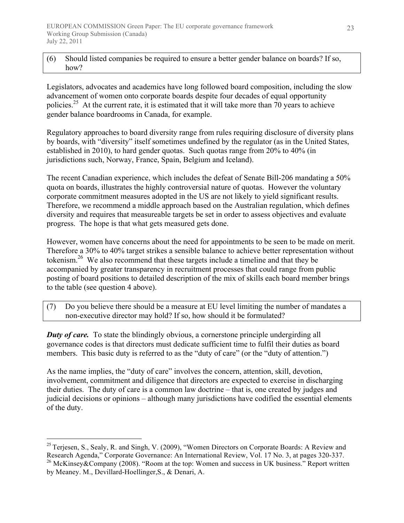# (6) Should listed companies be required to ensure a better gender balance on boards? If so, how?

Legislators, advocates and academics have long followed board composition, including the slow advancement of women onto corporate boards despite four decades of equal opportunity policies.25At the current rate, it is estimated that it will take more than 70 years to achieve gender balance boardrooms in Canada, for example.

Regulatory approaches to board diversity range from rules requiring disclosure of diversity plans by boards, with "diversity" itself sometimes undefined by the regulator (as in the United States, established in 2010), to hard gender quotas. Such quotas range from 20% to 40% (in jurisdictions such, Norway, France, Spain, Belgium and Iceland).

The recent Canadian experience, which includes the defeat of Senate Bill-206 mandating a 50% quota on boards, illustrates the highly controversial nature of quotas. However the voluntary corporate commitment measures adopted in the US are not likely to yield significant results. Therefore, we recommend a middle approach based on the Australian regulation, which defines diversity and requires that measureable targets be set in order to assess objectives and evaluate progress. The hope is that what gets measured gets done.

However, women have concerns about the need for appointments to be seen to be made on merit. Therefore a 30% to 40% target strikes a sensible balance to achieve better representation without tokenism.26 We also recommend that these targets include a timeline and that they be accompanied by greater transparency in recruitment processes that could range from public posting of board positions to detailed description of the mix of skills each board member brings to the table (see question 4 above).

(7) Do you believe there should be a measure at EU level limiting the number of mandates a non-executive director may hold? If so, how should it be formulated?

*Duty of care.* To state the blindingly obvious, a cornerstone principle undergirding all governance codes is that directors must dedicate sufficient time to fulfil their duties as board members. This basic duty is referred to as the "duty of care" (or the "duty of attention.")

As the name implies, the "duty of care" involves the concern, attention, skill, devotion, involvement, commitment and diligence that directors are expected to exercise in discharging their duties. The duty of care is a common law doctrine – that is, one created by judges and judicial decisions or opinions – although many jurisdictions have codified the essential elements of the duty.

<sup>&</sup>lt;sup>25</sup> Terjesen, S., Sealy, R. and Singh, V. (2009), "Women Directors on Corporate Boards: A Review and Research Agenda," Corporate Governance: An International Review, Vol. 17 No. 3, at pages 320-337. <sup>26</sup> McKinsey&Company (2008). "Room at the top: Women and success in UK business." Report written by Meaney. M., Devillard-Hoellinger,S., & Denari, A.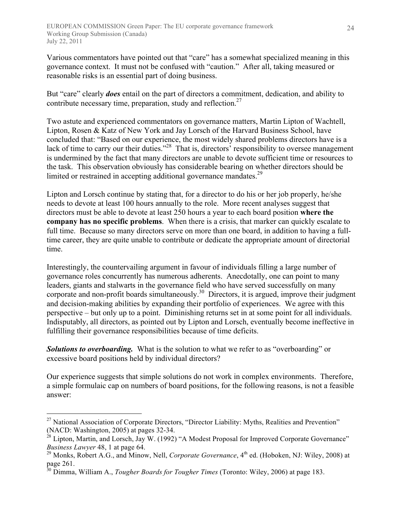Various commentators have pointed out that "care" has a somewhat specialized meaning in this governance context. It must not be confused with "caution." After all, taking measured or reasonable risks is an essential part of doing business.

But "care" clearly *does* entail on the part of directors a commitment, dedication, and ability to contribute necessary time, preparation, study and reflection. $27$ 

Two astute and experienced commentators on governance matters, Martin Lipton of Wachtell, Lipton, Rosen & Katz of New York and Jay Lorsch of the Harvard Business School, have concluded that: "Based on our experience, the most widely shared problems directors have is a lack of time to carry our their duties."<sup>28</sup> That is, directors' responsibility to oversee management is undermined by the fact that many directors are unable to devote sufficient time or resources to the task. This observation obviously has considerable bearing on whether directors should be limited or restrained in accepting additional governance mandates.<sup>29</sup>

Lipton and Lorsch continue by stating that, for a director to do his or her job properly, he/she needs to devote at least 100 hours annually to the role. More recent analyses suggest that directors must be able to devote at least 250 hours a year to each board position **where the company has no specific problems**. When there is a crisis, that marker can quickly escalate to full time. Because so many directors serve on more than one board, in addition to having a fulltime career, they are quite unable to contribute or dedicate the appropriate amount of directorial time.

Interestingly, the countervailing argument in favour of individuals filling a large number of governance roles concurrently has numerous adherents. Anecdotally, one can point to many leaders, giants and stalwarts in the governance field who have served successfully on many corporate and non-profit boards simultaneously.<sup>30</sup> Directors, it is argued, improve their judgment and decision-making abilities by expanding their portfolio of experiences. We agree with this perspective – but only up to a point. Diminishing returns set in at some point for all individuals. Indisputably, all directors, as pointed out by Lipton and Lorsch, eventually become ineffective in fulfilling their governance responsibilities because of time deficits.

**Solutions to overboarding.** What is the solution to what we refer to as "overboarding" or excessive board positions held by individual directors?

Our experience suggests that simple solutions do not work in complex environments. Therefore, a simple formulaic cap on numbers of board positions, for the following reasons, is not a feasible answer:

<sup>&</sup>lt;sup>27</sup> National Association of Corporate Directors, "Director Liability: Myths, Realities and Prevention" (NACD: Washington, 2005) at pages 32-34.

 $^{28}$  Lipton, Martin, and Lorsch, Jay W. (1992) "A Modest Proposal for Improved Corporate Governance" *Business Lawyer* 48, 1 at page 64.<br><sup>29</sup> Monks, Robert A.G., and Minow, Nell, *Corporate Governance*, 4<sup>th</sup> ed. (Hoboken, NJ: Wiley, 2008) at

page 261.

<sup>30</sup> Dimma, William A., *Tougher Boards for Tougher Times* (Toronto: Wiley, 2006) at page 183.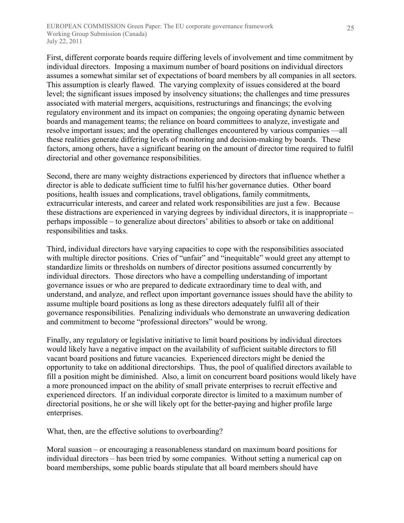First, different corporate boards require differing levels of involvement and time commitment by individual directors. Imposing a maximum number of board positions on individual directors assumes a somewhat similar set of expectations of board members by all companies in all sectors. This assumption is clearly flawed. The varying complexity of issues considered at the board level; the significant issues imposed by insolvency situations; the challenges and time pressures associated with material mergers, acquisitions, restructurings and financings; the evolving regulatory environment and its impact on companies; the ongoing operating dynamic between boards and management teams; the reliance on board committees to analyze, investigate and resolve important issues; and the operating challenges encountered by various companies —all these realities generate differing levels of monitoring and decision-making by boards. These factors, among others, have a significant bearing on the amount of director time required to fulfil directorial and other governance responsibilities.

Second, there are many weighty distractions experienced by directors that influence whether a director is able to dedicate sufficient time to fulfil his/her governance duties. Other board positions, health issues and complications, travel obligations, family commitments, extracurricular interests, and career and related work responsibilities are just a few. Because these distractions are experienced in varying degrees by individual directors, it is inappropriate – perhaps impossible – to generalize about directors' abilities to absorb or take on additional responsibilities and tasks.

Third, individual directors have varying capacities to cope with the responsibilities associated with multiple director positions. Cries of "unfair" and "inequitable" would greet any attempt to standardize limits or thresholds on numbers of director positions assumed concurrently by individual directors. Those directors who have a compelling understanding of important governance issues or who are prepared to dedicate extraordinary time to deal with, and understand, and analyze, and reflect upon important governance issues should have the ability to assume multiple board positions as long as these directors adequately fulfil all of their governance responsibilities. Penalizing individuals who demonstrate an unwavering dedication and commitment to become "professional directors" would be wrong.

Finally, any regulatory or legislative initiative to limit board positions by individual directors would likely have a negative impact on the availability of sufficient suitable directors to fill vacant board positions and future vacancies. Experienced directors might be denied the opportunity to take on additional directorships. Thus, the pool of qualified directors available to fill a position might be diminished. Also, a limit on concurrent board positions would likely have a more pronounced impact on the ability of small private enterprises to recruit effective and experienced directors. If an individual corporate director is limited to a maximum number of directorial positions, he or she will likely opt for the better-paying and higher profile large enterprises.

What, then, are the effective solutions to overboarding?

Moral suasion – or encouraging a reasonableness standard on maximum board positions for individual directors – has been tried by some companies. Without setting a numerical cap on board memberships, some public boards stipulate that all board members should have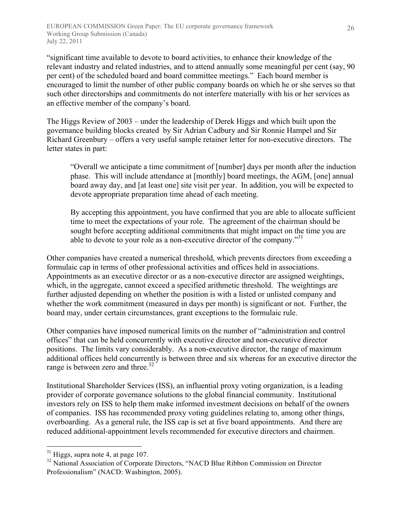"significant time available to devote to board activities, to enhance their knowledge of the relevant industry and related industries, and to attend annually some meaningful per cent (say, 90 per cent) of the scheduled board and board committee meetings." Each board member is encouraged to limit the number of other public company boards on which he or she serves so that such other directorships and commitments do not interfere materially with his or her services as an effective member of the company's board.

The Higgs Review of 2003 – under the leadership of Derek Higgs and which built upon the governance building blocks created by Sir Adrian Cadbury and Sir Ronnie Hampel and Sir Richard Greenbury – offers a very useful sample retainer letter for non-executive directors. The letter states in part:

"Overall we anticipate a time commitment of [number] days per month after the induction phase. This will include attendance at [monthly] board meetings, the AGM, [one] annual board away day, and [at least one] site visit per year. In addition, you will be expected to devote appropriate preparation time ahead of each meeting.

By accepting this appointment, you have confirmed that you are able to allocate sufficient time to meet the expectations of your role. The agreement of the chairman should be sought before accepting additional commitments that might impact on the time you are able to devote to your role as a non-executive director of the company."<sup>31</sup>

Other companies have created a numerical threshold, which prevents directors from exceeding a formulaic cap in terms of other professional activities and offices held in associations. Appointments as an executive director or as a non-executive director are assigned weightings, which, in the aggregate, cannot exceed a specified arithmetic threshold. The weightings are further adjusted depending on whether the position is with a listed or unlisted company and whether the work commitment (measured in days per month) is significant or not. Further, the board may, under certain circumstances, grant exceptions to the formulaic rule.

Other companies have imposed numerical limits on the number of "administration and control offices" that can be held concurrently with executive director and non-executive director positions. The limits vary considerably. As a non-executive director, the range of maximum additional offices held concurrently is between three and six whereas for an executive director the range is between zero and three. $32$ 

Institutional Shareholder Services (ISS), an influential proxy voting organization, is a leading provider of corporate governance solutions to the global financial community. Institutional investors rely on ISS to help them make informed investment decisions on behalf of the owners of companies. ISS has recommended proxy voting guidelines relating to, among other things, overboarding. As a general rule, the ISS cap is set at five board appointments. And there are reduced additional-appointment levels recommended for executive directors and chairmen.

 $31$  Higgs, supra note 4, at page 107.

<sup>&</sup>lt;sup>32</sup> National Association of Corporate Directors, "NACD Blue Ribbon Commission on Director Professionalism" (NACD: Washington, 2005).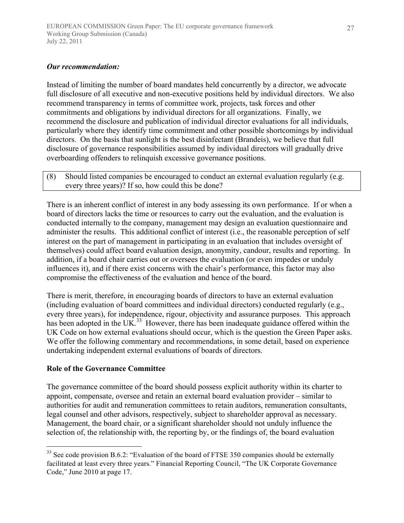# *Our recommendation:*

Instead of limiting the number of board mandates held concurrently by a director, we advocate full disclosure of all executive and non-executive positions held by individual directors. We also recommend transparency in terms of committee work, projects, task forces and other commitments and obligations by individual directors for all organizations. Finally, we recommend the disclosure and publication of individual director evaluations for all individuals, particularly where they identify time commitment and other possible shortcomings by individual directors. On the basis that sunlight is the best disinfectant (Brandeis), we believe that full disclosure of governance responsibilities assumed by individual directors will gradually drive overboarding offenders to relinquish excessive governance positions.

```
(8) Should listed companies be encouraged to conduct an external evaluation regularly (e.g. 
every three years)? If so, how could this be done?
```
There is an inherent conflict of interest in any body assessing its own performance. If or when a board of directors lacks the time or resources to carry out the evaluation, and the evaluation is conducted internally to the company, management may design an evaluation questionnaire and administer the results. This additional conflict of interest (i.e., the reasonable perception of self interest on the part of management in participating in an evaluation that includes oversight of themselves) could affect board evaluation design, anonymity, candour, results and reporting. In addition, if a board chair carries out or oversees the evaluation (or even impedes or unduly influences it), and if there exist concerns with the chair's performance, this factor may also compromise the effectiveness of the evaluation and hence of the board.

There is merit, therefore, in encouraging boards of directors to have an external evaluation (including evaluation of board committees and individual directors) conducted regularly (e.g., every three years), for independence, rigour, objectivity and assurance purposes. This approach has been adopted in the UK.<sup>33</sup> However, there has been inadequate guidance offered within the UK Code on how external evaluations should occur, which is the question the Green Paper asks. We offer the following commentary and recommendations, in some detail, based on experience undertaking independent external evaluations of boards of directors.

## **Role of the Governance Committee**

The governance committee of the board should possess explicit authority within its charter to appoint, compensate, oversee and retain an external board evaluation provider – similar to authorities for audit and remuneration committees to retain auditors, remuneration consultants, legal counsel and other advisors, respectively, subject to shareholder approval as necessary. Management, the board chair, or a significant shareholder should not unduly influence the selection of, the relationship with, the reporting by, or the findings of, the board evaluation

<sup>&</sup>lt;sup>33</sup> See code provision B.6.2: "Evaluation of the board of FTSE 350 companies should be externally facilitated at least every three years." Financial Reporting Council, "The UK Corporate Governance Code," June 2010 at page 17.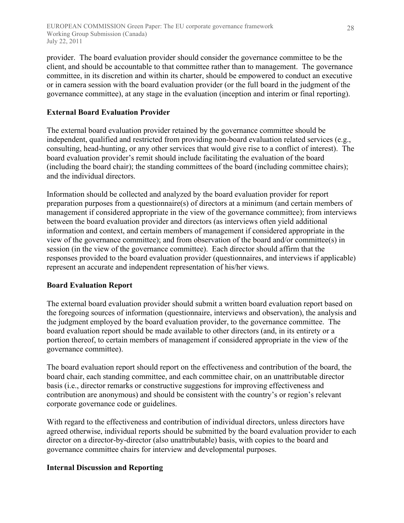provider. The board evaluation provider should consider the governance committee to be the client, and should be accountable to that committee rather than to management. The governance committee, in its discretion and within its charter, should be empowered to conduct an executive or in camera session with the board evaluation provider (or the full board in the judgment of the governance committee), at any stage in the evaluation (inception and interim or final reporting).

# **External Board Evaluation Provider**

The external board evaluation provider retained by the governance committee should be independent, qualified and restricted from providing non-board evaluation related services (e.g., consulting, head-hunting, or any other services that would give rise to a conflict of interest). The board evaluation provider's remit should include facilitating the evaluation of the board (including the board chair); the standing committees of the board (including committee chairs); and the individual directors.

Information should be collected and analyzed by the board evaluation provider for report preparation purposes from a questionnaire(s) of directors at a minimum (and certain members of management if considered appropriate in the view of the governance committee); from interviews between the board evaluation provider and directors (as interviews often yield additional information and context, and certain members of management if considered appropriate in the view of the governance committee); and from observation of the board and/or committee(s) in session (in the view of the governance committee). Each director should affirm that the responses provided to the board evaluation provider (questionnaires, and interviews if applicable) represent an accurate and independent representation of his/her views.

# **Board Evaluation Report**

The external board evaluation provider should submit a written board evaluation report based on the foregoing sources of information (questionnaire, interviews and observation), the analysis and the judgment employed by the board evaluation provider, to the governance committee. The board evaluation report should be made available to other directors (and, in its entirety or a portion thereof, to certain members of management if considered appropriate in the view of the governance committee).

The board evaluation report should report on the effectiveness and contribution of the board, the board chair, each standing committee, and each committee chair, on an unattributable director basis (i.e., director remarks or constructive suggestions for improving effectiveness and contribution are anonymous) and should be consistent with the country's or region's relevant corporate governance code or guidelines.

With regard to the effectiveness and contribution of individual directors, unless directors have agreed otherwise, individual reports should be submitted by the board evaluation provider to each director on a director-by-director (also unattributable) basis, with copies to the board and governance committee chairs for interview and developmental purposes.

# **Internal Discussion and Reporting**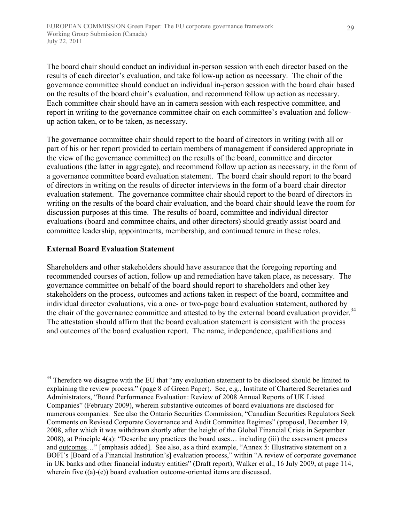The board chair should conduct an individual in-person session with each director based on the results of each director's evaluation, and take follow-up action as necessary. The chair of the governance committee should conduct an individual in-person session with the board chair based on the results of the board chair's evaluation, and recommend follow up action as necessary. Each committee chair should have an in camera session with each respective committee, and report in writing to the governance committee chair on each committee's evaluation and followup action taken, or to be taken, as necessary.

The governance committee chair should report to the board of directors in writing (with all or part of his or her report provided to certain members of management if considered appropriate in the view of the governance committee) on the results of the board, committee and director evaluations (the latter in aggregate), and recommend follow up action as necessary, in the form of a governance committee board evaluation statement. The board chair should report to the board of directors in writing on the results of director interviews in the form of a board chair director evaluation statement. The governance committee chair should report to the board of directors in writing on the results of the board chair evaluation, and the board chair should leave the room for discussion purposes at this time. The results of board, committee and individual director evaluations (board and committee chairs, and other directors) should greatly assist board and committee leadership, appointments, membership, and continued tenure in these roles.

# **External Board Evaluation Statement**

Shareholders and other stakeholders should have assurance that the foregoing reporting and recommended courses of action, follow up and remediation have taken place, as necessary. The governance committee on behalf of the board should report to shareholders and other key stakeholders on the process, outcomes and actions taken in respect of the board, committee and individual director evaluations, via a one- or two-page board evaluation statement, authored by the chair of the governance committee and attested to by the external board evaluation provider.<sup>34</sup> The attestation should affirm that the board evaluation statement is consistent with the process and outcomes of the board evaluation report. The name, independence, qualifications and

<sup>&</sup>lt;sup>34</sup> Therefore we disagree with the EU that "any evaluation statement to be disclosed should be limited to explaining the review process." (page 8 of Green Paper). See, e.g., Institute of Chartered Secretaries and Administrators, "Board Performance Evaluation: Review of 2008 Annual Reports of UK Listed Companies" (February 2009), wherein substantive outcomes of board evaluations are disclosed for numerous companies. See also the Ontario Securities Commission, "Canadian Securities Regulators Seek Comments on Revised Corporate Governance and Audit Committee Regimes" (proposal, December 19, 2008, after which it was withdrawn shortly after the height of the Global Financial Crisis in September 2008), at Principle 4(a): "Describe any practices the board uses… including (iii) the assessment process and outcomes…" [emphasis added]. See also, as a third example, "Annex 5: Illustrative statement on a BOFI's [Board of a Financial Institution's] evaluation process," within "A review of corporate governance in UK banks and other financial industry entities" (Draft report), Walker et al., 16 July 2009, at page 114, wherein five ((a)-(e)) board evaluation outcome-oriented items are discussed.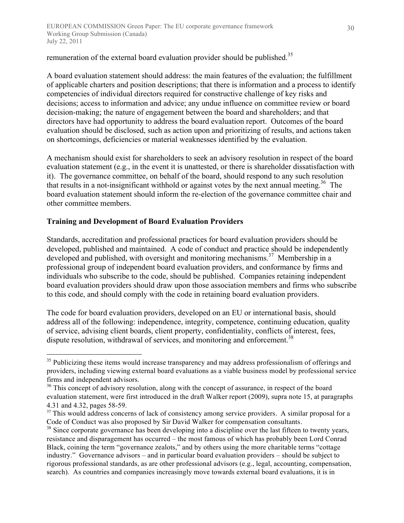## remuneration of the external board evaluation provider should be published.<sup>35</sup>

A board evaluation statement should address: the main features of the evaluation; the fulfillment of applicable charters and position descriptions; that there is information and a process to identify competencies of individual directors required for constructive challenge of key risks and decisions; access to information and advice; any undue influence on committee review or board decision-making; the nature of engagement between the board and shareholders; and that directors have had opportunity to address the board evaluation report. Outcomes of the board evaluation should be disclosed, such as action upon and prioritizing of results, and actions taken on shortcomings, deficiencies or material weaknesses identified by the evaluation.

A mechanism should exist for shareholders to seek an advisory resolution in respect of the board evaluation statement (e.g., in the event it is unattested, or there is shareholder dissatisfaction with it). The governance committee, on behalf of the board, should respond to any such resolution that results in a not-insignificant withhold or against votes by the next annual meeting.<sup>36</sup> The board evaluation statement should inform the re-election of the governance committee chair and other committee members.

## **Training and Development of Board Evaluation Providers**

Standards, accreditation and professional practices for board evaluation providers should be developed, published and maintained. A code of conduct and practice should be independently developed and published, with oversight and monitoring mechanisms.<sup>37</sup> Membership in a professional group of independent board evaluation providers, and conformance by firms and individuals who subscribe to the code, should be published. Companies retaining independent board evaluation providers should draw upon those association members and firms who subscribe to this code, and should comply with the code in retaining board evaluation providers.

The code for board evaluation providers, developed on an EU or international basis, should address all of the following: independence, integrity, competence, continuing education, quality of service, advising client boards, client property, confidentiality, conflicts of interest, fees, dispute resolution, withdrawal of services, and monitoring and enforcement.<sup>38</sup>

<sup>&</sup>lt;sup>35</sup> Publicizing these items would increase transparency and may address professionalism of offerings and providers, including viewing external board evaluations as a viable business model by professional service firms and independent advisors.

<sup>&</sup>lt;sup>36</sup> This concept of advisory resolution, along with the concept of assurance, in respect of the board evaluation statement, were first introduced in the draft Walker report (2009), supra note 15, at paragraphs 4.31 and 4.32, pages 58-59.

<sup>&</sup>lt;sup>37</sup> This would address concerns of lack of consistency among service providers. A similar proposal for a Code of Conduct was also proposed by Sir David Walker for compensation consultants.

 $38$  Since corporate governance has been developing into a discipline over the last fifteen to twenty years, resistance and disparagement has occurred – the most famous of which has probably been Lord Conrad Black, coining the term "governance zealots," and by others using the more charitable terms "cottage industry." Governance advisors – and in particular board evaluation providers – should be subject to rigorous professional standards, as are other professional advisors (e.g., legal, accounting, compensation, search). As countries and companies increasingly move towards external board evaluations, it is in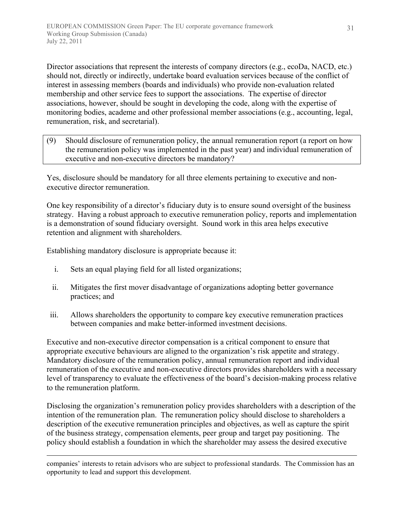Director associations that represent the interests of company directors (e.g., ecoDa, NACD, etc.) should not, directly or indirectly, undertake board evaluation services because of the conflict of interest in assessing members (boards and individuals) who provide non-evaluation related membership and other service fees to support the associations. The expertise of director associations, however, should be sought in developing the code, along with the expertise of monitoring bodies, academe and other professional member associations (e.g., accounting, legal, remuneration, risk, and secretarial).

(9) Should disclosure of remuneration policy, the annual remuneration report (a report on how the remuneration policy was implemented in the past year) and individual remuneration of executive and non-executive directors be mandatory?

Yes, disclosure should be mandatory for all three elements pertaining to executive and nonexecutive director remuneration.

One key responsibility of a director's fiduciary duty is to ensure sound oversight of the business strategy. Having a robust approach to executive remuneration policy, reports and implementation is a demonstration of sound fiduciary oversight. Sound work in this area helps executive retention and alignment with shareholders.

Establishing mandatory disclosure is appropriate because it:

- i. Sets an equal playing field for all listed organizations;
- ii. Mitigates the first mover disadvantage of organizations adopting better governance practices; and
- iii. Allows shareholders the opportunity to compare key executive remuneration practices between companies and make better-informed investment decisions.

Executive and non-executive director compensation is a critical component to ensure that appropriate executive behaviours are aligned to the organization's risk appetite and strategy. Mandatory disclosure of the remuneration policy, annual remuneration report and individual remuneration of the executive and non-executive directors provides shareholders with a necessary level of transparency to evaluate the effectiveness of the board's decision-making process relative to the remuneration platform.

Disclosing the organization's remuneration policy provides shareholders with a description of the intention of the remuneration plan. The remuneration policy should disclose to shareholders a description of the executive remuneration principles and objectives, as well as capture the spirit of the business strategy, compensation elements, peer group and target pay positioning. The policy should establish a foundation in which the shareholder may assess the desired executive

companies' interests to retain advisors who are subject to professional standards. The Commission has an opportunity to lead and support this development.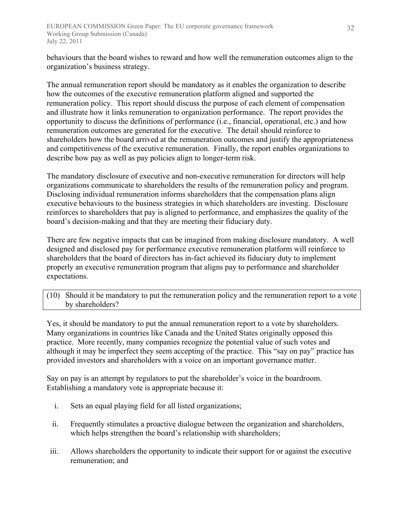behaviours that the board wishes to reward and how well the remuneration outcomes align to the organization's business strategy.

The annual remuneration report should be mandatory as it enables the organization to describe how the outcomes of the executive remuneration platform aligned and supported the remuneration policy. This report should discuss the purpose of each element of compensation and illustrate how it links remuneration to organization performance. The report provides the opportunity to discuss the definitions of performance (i.e., financial, operational, etc.) and how remuneration outcomes are generated for the executive. The detail should reinforce to shareholders how the board arrived at the remuneration outcomes and justify the appropriateness and competitiveness of the executive remuneration. Finally, the report enables organizations to describe how pay as well as pay policies align to longer-term risk.

The mandatory disclosure of executive and non-executive remuneration for directors will help organizations communicate to shareholders the results of the remuneration policy and program. Disclosing individual remuneration informs shareholders that the compensation plans align executive behaviours to the business strategies in which shareholders are investing. Disclosure reinforces to shareholders that pay is aligned to performance, and emphasizes the quality of the board's decision-making and that they are meeting their fiduciary duty.

There are few negative impacts that can be imagined from making disclosure mandatory. A well designed and disclosed pay for performance executive remuneration platform will reinforce to shareholders that the board of directors has in-fact achieved its fiduciary duty to implement properly an executive remuneration program that aligns pay to performance and shareholder expectations.

(10) Should it be mandatory to put the remuneration policy and the remuneration report to a vote by shareholders?

Yes, it should be mandatory to put the annual remuneration report to a vote by shareholders. Many organizations in countries like Canada and the United States originally opposed this practice. More recently, many companies recognize the potential value of such votes and although it may be imperfect they seem accepting of the practice. This "say on pay" practice has provided investors and shareholders with a voice on an important governance matter.

Say on pay is an attempt by regulators to put the shareholder's voice in the boardroom. Establishing a mandatory vote is appropriate because it:

- i. Sets an equal playing field for all listed organizations;
- ii. Frequently stimulates a proactive dialogue between the organization and shareholders, which helps strengthen the board's relationship with shareholders;
- iii. Allows shareholders the opportunity to indicate their support for or against the executive remuneration; and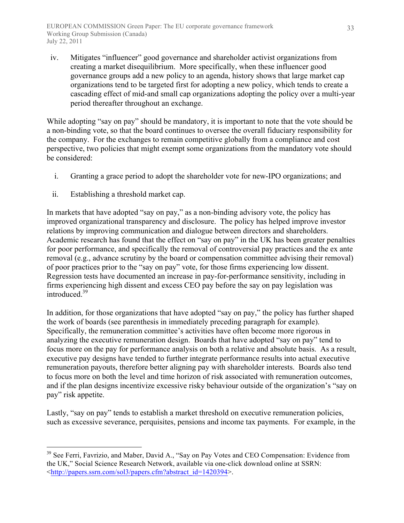iv. Mitigates "influencer" good governance and shareholder activist organizations from creating a market disequilibrium. More specifically, when these influencer good governance groups add a new policy to an agenda, history shows that large market cap organizations tend to be targeted first for adopting a new policy, which tends to create a cascading effect of mid-and small cap organizations adopting the policy over a multi-year period thereafter throughout an exchange.

While adopting "say on pay" should be mandatory, it is important to note that the vote should be a non-binding vote, so that the board continues to oversee the overall fiduciary responsibility for the company. For the exchanges to remain competitive globally from a compliance and cost perspective, two policies that might exempt some organizations from the mandatory vote should be considered:

- i. Granting a grace period to adopt the shareholder vote for new-IPO organizations; and
- ii. Establishing a threshold market cap.

In markets that have adopted "say on pay," as a non-binding advisory vote, the policy has improved organizational transparency and disclosure. The policy has helped improve investor relations by improving communication and dialogue between directors and shareholders. Academic research has found that the effect on "say on pay" in the UK has been greater penalties for poor performance, and specifically the removal of controversial pay practices and the ex ante removal (e.g., advance scrutiny by the board or compensation committee advising their removal) of poor practices prior to the "say on pay" vote, for those firms experiencing low dissent. Regression tests have documented an increase in pay-for-performance sensitivity, including in firms experiencing high dissent and excess CEO pay before the say on pay legislation was introduced.<sup>39</sup>

In addition, for those organizations that have adopted "say on pay," the policy has further shaped the work of boards (see parenthesis in immediately preceding paragraph for example). Specifically, the remuneration committee's activities have often become more rigorous in analyzing the executive remuneration design. Boards that have adopted "say on pay" tend to focus more on the pay for performance analysis on both a relative and absolute basis. As a result, executive pay designs have tended to further integrate performance results into actual executive remuneration payouts, therefore better aligning pay with shareholder interests. Boards also tend to focus more on both the level and time horizon of risk associated with remuneration outcomes, and if the plan designs incentivize excessive risky behaviour outside of the organization's "say on pay" risk appetite.

Lastly, "say on pay" tends to establish a market threshold on executive remuneration policies, such as excessive severance, perquisites, pensions and income tax payments. For example, in the

<sup>&</sup>lt;sup>39</sup> See Ferri, Favrizio, and Maber, David A., "Say on Pay Votes and CEO Compensation: Evidence from the UK," Social Science Research Network, available via one-click download online at SSRN: <http://papers.ssrn.com/sol3/papers.cfm?abstract\_id=1420394>.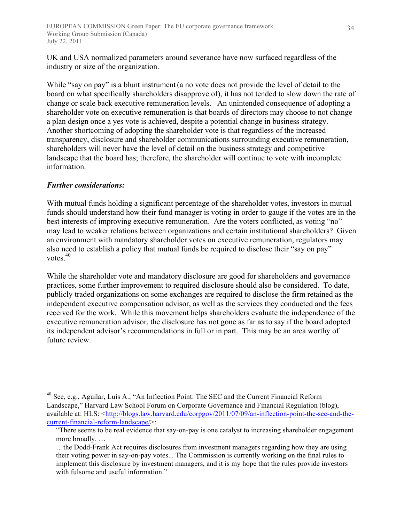UK and USA normalized parameters around severance have now surfaced regardless of the industry or size of the organization.

While "say on pay" is a blunt instrument (a no vote does not provide the level of detail to the board on what specifically shareholders disapprove of), it has not tended to slow down the rate of change or scale back executive remuneration levels. An unintended consequence of adopting a shareholder vote on executive remuneration is that boards of directors may choose to not change a plan design once a yes vote is achieved, despite a potential change in business strategy. Another shortcoming of adopting the shareholder vote is that regardless of the increased transparency, disclosure and shareholder communications surrounding executive remuneration, shareholders will never have the level of detail on the business strategy and competitive landscape that the board has; therefore, the shareholder will continue to vote with incomplete information.

# *Further considerations:*

With mutual funds holding a significant percentage of the shareholder votes, investors in mutual funds should understand how their fund manager is voting in order to gauge if the votes are in the best interests of improving executive remuneration. Are the voters conflicted, as voting "no" may lead to weaker relations between organizations and certain institutional shareholders? Given an environment with mandatory shareholder votes on executive remuneration, regulators may also need to establish a policy that mutual funds be required to disclose their "say on pay" votes. 40

While the shareholder vote and mandatory disclosure are good for shareholders and governance practices, some further improvement to required disclosure should also be considered. To date, publicly traded organizations on some exchanges are required to disclose the firm retained as the independent executive compensation advisor, as well as the services they conducted and the fees received for the work. While this movement helps shareholders evaluate the independence of the executive remuneration advisor, the disclosure has not gone as far as to say if the board adopted its independent advisor's recommendations in full or in part. This may be an area worthy of future review.

 $40$  See, e.g., Aguilar, Luis A., "An Inflection Point: The SEC and the Current Financial Reform Landscape," Harvard Law School Forum on Corporate Governance and Financial Regulation (blog), available at: HLS: <http://blogs.law.harvard.edu/corpgov/2011/07/09/an-inflection-point-the-sec-and-thecurrent-financial-reform-landscape/>:

<sup>&</sup>quot;There seems to be real evidence that say-on-pay is one catalyst to increasing shareholder engagement more broadly. …

<sup>…</sup>the Dodd-Frank Act requires disclosures from investment managers regarding how they are using their voting power in say-on-pay votes... The Commission is currently working on the final rules to implement this disclosure by investment managers, and it is my hope that the rules provide investors with fulsome and useful information."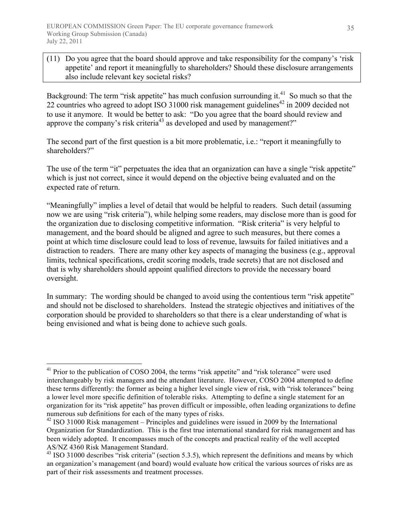# (11) Do you agree that the board should approve and take responsibility for the company's 'risk appetite' and report it meaningfully to shareholders? Should these disclosure arrangements also include relevant key societal risks?

Background: The term "risk appetite" has much confusion surrounding it. $41$  So much so that the 22 countries who agreed to adopt ISO 31000 risk management guidelines<sup>42</sup> in 2009 decided not to use it anymore. It would be better to ask: "Do you agree that the board should review and approve the company's risk criteria<sup>43</sup> as developed and used by management?"

The second part of the first question is a bit more problematic, i.e.: "report it meaningfully to shareholders?"

The use of the term "it" perpetuates the idea that an organization can have a single "risk appetite" which is just not correct, since it would depend on the objective being evaluated and on the expected rate of return.

"Meaningfully" implies a level of detail that would be helpful to readers. Such detail (assuming now we are using "risk criteria"), while helping some readers, may disclose more than is good for the organization due to disclosing competitive information. "Risk criteria" is very helpful to management, and the board should be aligned and agree to such measures, but there comes a point at which time disclosure could lead to loss of revenue, lawsuits for failed initiatives and a distraction to readers. There are many other key aspects of managing the business (e.g., approval limits, technical specifications, credit scoring models, trade secrets) that are not disclosed and that is why shareholders should appoint qualified directors to provide the necessary board oversight.

In summary: The wording should be changed to avoid using the contentious term "risk appetite" and should not be disclosed to shareholders. Instead the strategic objectives and initiatives of the corporation should be provided to shareholders so that there is a clear understanding of what is being envisioned and what is being done to achieve such goals.

<sup>&</sup>lt;sup>41</sup> Prior to the publication of COSO 2004, the terms "risk appetite" and "risk tolerance" were used interchangeably by risk managers and the attendant literature. However, COSO 2004 attempted to define these terms differently: the former as being a higher level single view of risk, with "risk tolerances" being a lower level more specific definition of tolerable risks. Attempting to define a single statement for an organization for its "risk appetite" has proven difficult or impossible, often leading organizations to define numerous sub definitions for each of the many types of risks.

<sup>&</sup>lt;sup>42</sup> ISO 31000 Risk management – Principles and guidelines were issued in 2009 by the International Organization for Standardization. This is the first true international standard for risk management and has been widely adopted. It encompasses much of the concepts and practical reality of the well accepted AS/NZ 4360 Risk Management Standard.

<sup>&</sup>lt;sup>43</sup> ISO 31000 describes "risk criteria" (section 5.3.5), which represent the definitions and means by which an organization's management (and board) would evaluate how critical the various sources of risks are as part of their risk assessments and treatment processes.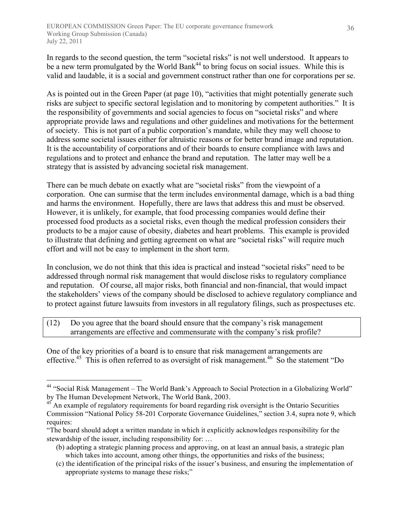In regards to the second question, the term "societal risks" is not well understood. It appears to be a new term promulgated by the World Bank<sup>44</sup> to bring focus on social issues. While this is valid and laudable, it is a social and government construct rather than one for corporations per se.

As is pointed out in the Green Paper (at page 10), "activities that might potentially generate such risks are subject to specific sectoral legislation and to monitoring by competent authorities." It is the responsibility of governments and social agencies to focus on "societal risks" and where appropriate provide laws and regulations and other guidelines and motivations for the betterment of society. This is not part of a public corporation's mandate, while they may well choose to address some societal issues either for altruistic reasons or for better brand image and reputation. It is the accountability of corporations and of their boards to ensure compliance with laws and regulations and to protect and enhance the brand and reputation. The latter may well be a strategy that is assisted by advancing societal risk management.

There can be much debate on exactly what are "societal risks" from the viewpoint of a corporation. One can surmise that the term includes environmental damage, which is a bad thing and harms the environment. Hopefully, there are laws that address this and must be observed. However, it is unlikely, for example, that food processing companies would define their processed food products as a societal risks, even though the medical profession considers their products to be a major cause of obesity, diabetes and heart problems. This example is provided to illustrate that defining and getting agreement on what are "societal risks" will require much effort and will not be easy to implement in the short term.

In conclusion, we do not think that this idea is practical and instead "societal risks" need to be addressed through normal risk management that would disclose risks to regulatory compliance and reputation. Of course, all major risks, both financial and non-financial, that would impact the stakeholders' views of the company should be disclosed to achieve regulatory compliance and to protect against future lawsuits from investors in all regulatory filings, such as prospectuses etc.

(12) Do you agree that the board should ensure that the company's risk management arrangements are effective and commensurate with the company's risk profile?

One of the key priorities of a board is to ensure that risk management arrangements are effective.<sup>45</sup> This is often referred to as oversight of risk management.<sup>46</sup> So the statement "Do

<sup>44</sup> "Social Risk Management – The World Bank's Approach to Social Protection in a Globalizing World" by The Human Development Network, The World Bank, 2003.

 $45$  An example of regulatory requirements for board regarding risk oversight is the Ontario Securities Commission "National Policy 58-201 Corporate Governance Guidelines," section 3.4, supra note 9, which requires:

<sup>&</sup>quot;The board should adopt a written mandate in which it explicitly acknowledges responsibility for the stewardship of the issuer, including responsibility for: …

<sup>(</sup>b) adopting a strategic planning process and approving, on at least an annual basis, a strategic plan which takes into account, among other things, the opportunities and risks of the business;

<sup>(</sup>c) the identification of the principal risks of the issuer's business, and ensuring the implementation of appropriate systems to manage these risks;"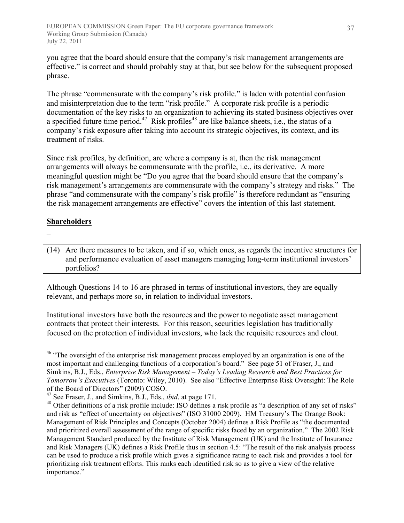you agree that the board should ensure that the company's risk management arrangements are effective." is correct and should probably stay at that, but see below for the subsequent proposed phrase.

The phrase "commensurate with the company's risk profile." is laden with potential confusion and misinterpretation due to the term "risk profile." A corporate risk profile is a periodic documentation of the key risks to an organization to achieving its stated business objectives over a specified future time period.<sup>47</sup> Risk profiles<sup>48</sup> are like balance sheets, i.e., the status of a company's risk exposure after taking into account its strategic objectives, its context, and its treatment of risks.

Since risk profiles, by definition, are where a company is at, then the risk management arrangements will always be commensurate with the profile, i.e., its derivative. A more meaningful question might be "Do you agree that the board should ensure that the company's risk management's arrangements are commensurate with the company's strategy and risks." The phrase "and commensurate with the company's risk profile" is therefore redundant as "ensuring the risk management arrangements are effective" covers the intention of this last statement.

# **Shareholders**

 $\overline{a}$ 

(14) Are there measures to be taken, and if so, which ones, as regards the incentive structures for and performance evaluation of asset managers managing long-term institutional investors' portfolios?

Although Questions 14 to 16 are phrased in terms of institutional investors, they are equally relevant, and perhaps more so, in relation to individual investors.

Institutional investors have both the resources and the power to negotiate asset management contracts that protect their interests. For this reason, securities legislation has traditionally focused on the protection of individual investors, who lack the requisite resources and clout.

<sup>&</sup>lt;sup>46</sup> "The oversight of the enterprise risk management process employed by an organization is one of the most important and challenging functions of a corporation's board." See page 51 of Fraser, J., and Simkins, B.J., Eds., *Enterprise Risk Management – Today's Leading Research and Best Practices for Tomorrow's Executives* (Toronto: Wiley, 2010). See also "Effective Enterprise Risk Oversight: The Role of the Board of Directors" (2009) COSO.

<sup>47</sup> See Fraser, J., and Simkins, B.J., Eds., *ibid*, at page 171.

<sup>48</sup> Other definitions of a risk profile include: ISO defines a risk profile as "a description of any set of risks" and risk as "effect of uncertainty on objectives" (ISO 31000 2009). HM Treasury's The Orange Book: Management of Risk Principles and Concepts (October 2004) defines a Risk Profile as "the documented and prioritized overall assessment of the range of specific risks faced by an organization." The 2002 Risk Management Standard produced by the Institute of Risk Management (UK) and the Institute of Insurance and Risk Managers (UK) defines a Risk Profile thus in section 4.5: "The result of the risk analysis process can be used to produce a risk profile which gives a significance rating to each risk and provides a tool for prioritizing risk treatment efforts. This ranks each identified risk so as to give a view of the relative importance."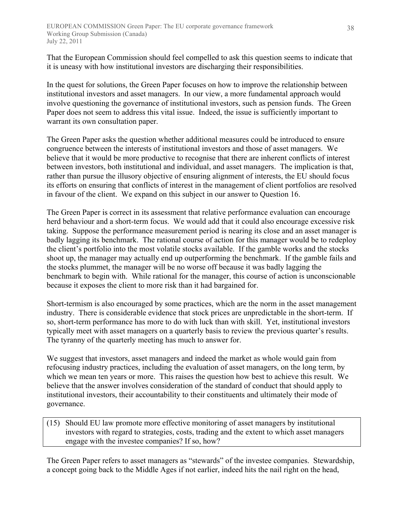That the European Commission should feel compelled to ask this question seems to indicate that it is uneasy with how institutional investors are discharging their responsibilities.

In the quest for solutions, the Green Paper focuses on how to improve the relationship between institutional investors and asset managers. In our view, a more fundamental approach would involve questioning the governance of institutional investors, such as pension funds. The Green Paper does not seem to address this vital issue. Indeed, the issue is sufficiently important to warrant its own consultation paper.

The Green Paper asks the question whether additional measures could be introduced to ensure congruence between the interests of institutional investors and those of asset managers. We believe that it would be more productive to recognise that there are inherent conflicts of interest between investors, both institutional and individual, and asset managers. The implication is that, rather than pursue the illusory objective of ensuring alignment of interests, the EU should focus its efforts on ensuring that conflicts of interest in the management of client portfolios are resolved in favour of the client. We expand on this subject in our answer to Question 16.

The Green Paper is correct in its assessment that relative performance evaluation can encourage herd behaviour and a short-term focus. We would add that it could also encourage excessive risk taking. Suppose the performance measurement period is nearing its close and an asset manager is badly lagging its benchmark. The rational course of action for this manager would be to redeploy the client's portfolio into the most volatile stocks available. If the gamble works and the stocks shoot up, the manager may actually end up outperforming the benchmark. If the gamble fails and the stocks plummet, the manager will be no worse off because it was badly lagging the benchmark to begin with. While rational for the manager, this course of action is unconscionable because it exposes the client to more risk than it had bargained for.

Short-termism is also encouraged by some practices, which are the norm in the asset management industry. There is considerable evidence that stock prices are unpredictable in the short-term. If so, short-term performance has more to do with luck than with skill. Yet, institutional investors typically meet with asset managers on a quarterly basis to review the previous quarter's results. The tyranny of the quarterly meeting has much to answer for.

We suggest that investors, asset managers and indeed the market as whole would gain from refocusing industry practices, including the evaluation of asset managers, on the long term, by which we mean ten years or more. This raises the question how best to achieve this result. We believe that the answer involves consideration of the standard of conduct that should apply to institutional investors, their accountability to their constituents and ultimately their mode of governance.

# (15) Should EU law promote more effective monitoring of asset managers by institutional investors with regard to strategies, costs, trading and the extent to which asset managers engage with the investee companies? If so, how?

The Green Paper refers to asset managers as "stewards" of the investee companies. Stewardship, a concept going back to the Middle Ages if not earlier, indeed hits the nail right on the head,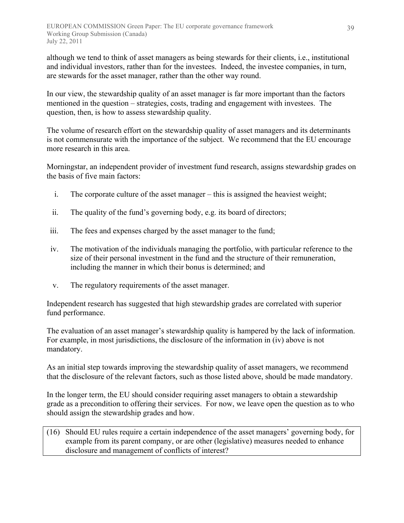although we tend to think of asset managers as being stewards for their clients, i.e., institutional and individual investors, rather than for the investees. Indeed, the investee companies, in turn, are stewards for the asset manager, rather than the other way round.

In our view, the stewardship quality of an asset manager is far more important than the factors mentioned in the question – strategies, costs, trading and engagement with investees. The question, then, is how to assess stewardship quality.

The volume of research effort on the stewardship quality of asset managers and its determinants is not commensurate with the importance of the subject. We recommend that the EU encourage more research in this area.

Morningstar, an independent provider of investment fund research, assigns stewardship grades on the basis of five main factors:

- i. The corporate culture of the asset manager this is assigned the heaviest weight;
- ii. The quality of the fund's governing body, e.g. its board of directors;
- iii. The fees and expenses charged by the asset manager to the fund;
- iv. The motivation of the individuals managing the portfolio, with particular reference to the size of their personal investment in the fund and the structure of their remuneration, including the manner in which their bonus is determined; and
- v. The regulatory requirements of the asset manager.

Independent research has suggested that high stewardship grades are correlated with superior fund performance.

The evaluation of an asset manager's stewardship quality is hampered by the lack of information. For example, in most jurisdictions, the disclosure of the information in (iv) above is not mandatory.

As an initial step towards improving the stewardship quality of asset managers, we recommend that the disclosure of the relevant factors, such as those listed above, should be made mandatory.

In the longer term, the EU should consider requiring asset managers to obtain a stewardship grade as a precondition to offering their services. For now, we leave open the question as to who should assign the stewardship grades and how.

(16) Should EU rules require a certain independence of the asset managers' governing body, for example from its parent company, or are other (legislative) measures needed to enhance disclosure and management of conflicts of interest?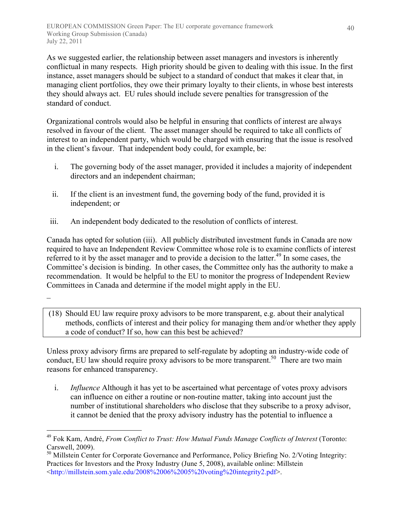As we suggested earlier, the relationship between asset managers and investors is inherently conflictual in many respects. High priority should be given to dealing with this issue. In the first instance, asset managers should be subject to a standard of conduct that makes it clear that, in managing client portfolios, they owe their primary loyalty to their clients, in whose best interests they should always act. EU rules should include severe penalties for transgression of the standard of conduct.

Organizational controls would also be helpful in ensuring that conflicts of interest are always resolved in favour of the client. The asset manager should be required to take all conflicts of interest to an independent party, which would be charged with ensuring that the issue is resolved in the client's favour. That independent body could, for example, be:

- i. The governing body of the asset manager, provided it includes a majority of independent directors and an independent chairman;
- ii. If the client is an investment fund, the governing body of the fund, provided it is independent; or
- iii. An independent body dedicated to the resolution of conflicts of interest.

Canada has opted for solution (iii). All publicly distributed investment funds in Canada are now required to have an Independent Review Committee whose role is to examine conflicts of interest referred to it by the asset manager and to provide a decision to the latter.<sup>49</sup> In some cases, the Committee's decision is binding. In other cases, the Committee only has the authority to make a recommendation. It would be helpful to the EU to monitor the progress of Independent Review Committees in Canada and determine if the model might apply in the EU.

 $\overline{a}$ 

(18) Should EU law require proxy advisors to be more transparent, e.g. about their analytical methods, conflicts of interest and their policy for managing them and/or whether they apply a code of conduct? If so, how can this best be achieved?

Unless proxy advisory firms are prepared to self-regulate by adopting an industry-wide code of conduct, EU law should require proxy advisors to be more transparent.<sup>50</sup> There are two main reasons for enhanced transparency.

i. *Influence* Although it has yet to be ascertained what percentage of votes proxy advisors can influence on either a routine or non-routine matter, taking into account just the number of institutional shareholders who disclose that they subscribe to a proxy advisor, it cannot be denied that the proxy advisory industry has the potential to influence a

<sup>49</sup> Fok Kam, André, *From Conflict to Trust: How Mutual Funds Manage Conflicts of Interest* (Toronto: Carswell, 2009).

<sup>&</sup>lt;sup>50</sup> Millstein Center for Corporate Governance and Performance, Policy Briefing No. 2/Voting Integrity: Practices for Investors and the Proxy Industry (June 5, 2008), available online: Millstein <http://millstein.som.yale.edu/2008%2006%2005%20voting%20integrity2.pdf>.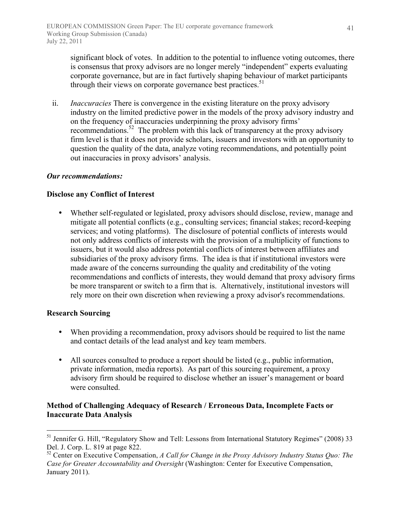significant block of votes. In addition to the potential to influence voting outcomes, there is consensus that proxy advisors are no longer merely "independent" experts evaluating corporate governance, but are in fact furtively shaping behaviour of market participants through their views on corporate governance best practices. $51$ 

ii. *Inaccuracies* There is convergence in the existing literature on the proxy advisory industry on the limited predictive power in the models of the proxy advisory industry and on the frequency of inaccuracies underpinning the proxy advisory firms' recommendations.<sup>52</sup> The problem with this lack of transparency at the proxy advisory firm level is that it does not provide scholars, issuers and investors with an opportunity to question the quality of the data, analyze voting recommendations, and potentially point out inaccuracies in proxy advisors' analysis.

## *Our recommendations:*

## **Disclose any Conflict of Interest**

• Whether self-regulated or legislated, proxy advisors should disclose, review, manage and mitigate all potential conflicts (e.g., consulting services; financial stakes; record-keeping services; and voting platforms). The disclosure of potential conflicts of interests would not only address conflicts of interests with the provision of a multiplicity of functions to issuers, but it would also address potential conflicts of interest between affiliates and subsidiaries of the proxy advisory firms. The idea is that if institutional investors were made aware of the concerns surrounding the quality and creditability of the voting recommendations and conflicts of interests, they would demand that proxy advisory firms be more transparent or switch to a firm that is. Alternatively, institutional investors will rely more on their own discretion when reviewing a proxy advisor's recommendations.

### **Research Sourcing**

- When providing a recommendation, proxy advisors should be required to list the name and contact details of the lead analyst and key team members.
- All sources consulted to produce a report should be listed (e.g., public information, private information, media reports). As part of this sourcing requirement, a proxy advisory firm should be required to disclose whether an issuer's management or board were consulted.

# **Method of Challenging Adequacy of Research / Erroneous Data, Incomplete Facts or Inaccurate Data Analysis**

<sup>&</sup>lt;sup>51</sup> Jennifer G. Hill, "Regulatory Show and Tell: Lessons from International Statutory Regimes" (2008) 33 Del. J. Corp. L. 819 at page 822.

<sup>52</sup> Center on Executive Compensation, *A Call for Change in the Proxy Advisory Industry Status Quo: The Case for Greater Accountability and Oversight* (Washington: Center for Executive Compensation, January 2011).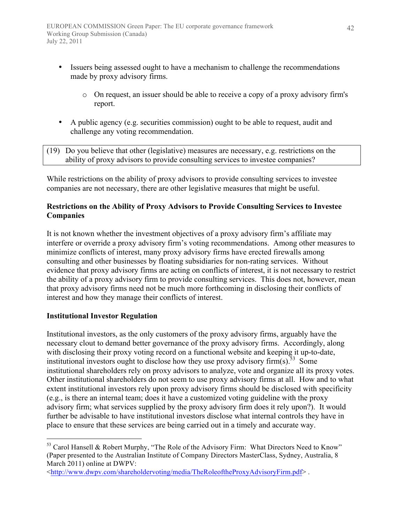- Issuers being assessed ought to have a mechanism to challenge the recommendations made by proxy advisory firms.
	- o On request, an issuer should be able to receive a copy of a proxy advisory firm's report.
- A public agency (e.g. securities commission) ought to be able to request, audit and challenge any voting recommendation.

(19) Do you believe that other (legislative) measures are necessary, e.g. restrictions on the ability of proxy advisors to provide consulting services to investee companies?

While restrictions on the ability of proxy advisors to provide consulting services to investee companies are not necessary, there are other legislative measures that might be useful.

# **Restrictions on the Ability of Proxy Advisors to Provide Consulting Services to Investee Companies**

It is not known whether the investment objectives of a proxy advisory firm's affiliate may interfere or override a proxy advisory firm's voting recommendations. Among other measures to minimize conflicts of interest, many proxy advisory firms have erected firewalls among consulting and other businesses by floating subsidiaries for non-rating services. Without evidence that proxy advisory firms are acting on conflicts of interest, it is not necessary to restrict the ability of a proxy advisory firm to provide consulting services. This does not, however, mean that proxy advisory firms need not be much more forthcoming in disclosing their conflicts of interest and how they manage their conflicts of interest.

# **Institutional Investor Regulation**

Institutional investors, as the only customers of the proxy advisory firms, arguably have the necessary clout to demand better governance of the proxy advisory firms. Accordingly, along with disclosing their proxy voting record on a functional website and keeping it up-to-date, institutional investors ought to disclose how they use proxy advisory firm(s).<sup>53</sup> Some institutional shareholders rely on proxy advisors to analyze, vote and organize all its proxy votes. Other institutional shareholders do not seem to use proxy advisory firms at all. How and to what extent institutional investors rely upon proxy advisory firms should be disclosed with specificity (e.g., is there an internal team; does it have a customized voting guideline with the proxy advisory firm; what services supplied by the proxy advisory firm does it rely upon?). It would further be advisable to have institutional investors disclose what internal controls they have in place to ensure that these services are being carried out in a timely and accurate way.

 $53$  Carol Hansell & Robert Murphy, "The Role of the Advisory Firm: What Directors Need to Know" (Paper presented to the Australian Institute of Company Directors MasterClass, Sydney, Australia, 8 March 2011) online at DWPV:

<sup>&</sup>lt;http://www.dwpv.com/shareholdervoting/media/TheRoleoftheProxyAdvisoryFirm.pdf> .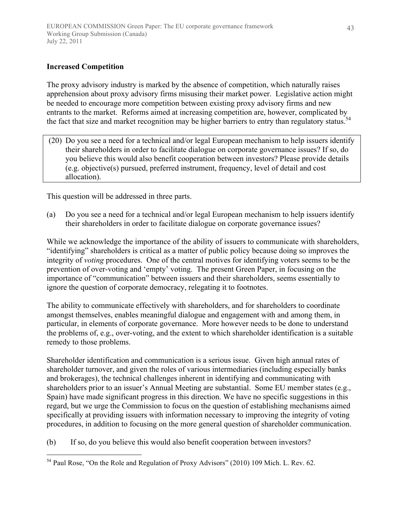# **Increased Competition**

The proxy advisory industry is marked by the absence of competition, which naturally raises apprehension about proxy advisory firms misusing their market power. Legislative action might be needed to encourage more competition between existing proxy advisory firms and new entrants to the market. Reforms aimed at increasing competition are, however, complicated by the fact that size and market recognition may be higher barriers to entry than regulatory status.<sup>54</sup>

(20) Do you see a need for a technical and/or legal European mechanism to help issuers identify their shareholders in order to facilitate dialogue on corporate governance issues? If so, do you believe this would also benefit cooperation between investors? Please provide details (e.g. objective(s) pursued, preferred instrument, frequency, level of detail and cost allocation).

This question will be addressed in three parts.

(a) Do you see a need for a technical and/or legal European mechanism to help issuers identify their shareholders in order to facilitate dialogue on corporate governance issues?

While we acknowledge the importance of the ability of issuers to communicate with shareholders, "identifying" shareholders is critical as a matter of public policy because doing so improves the integrity of *voting* procedures. One of the central motives for identifying voters seems to be the prevention of over-voting and 'empty' voting. The present Green Paper, in focusing on the importance of "communication" between issuers and their shareholders, seems essentially to ignore the question of corporate democracy, relegating it to footnotes.

The ability to communicate effectively with shareholders, and for shareholders to coordinate amongst themselves, enables meaningful dialogue and engagement with and among them, in particular, in elements of corporate governance. More however needs to be done to understand the problems of, e.g., over-voting, and the extent to which shareholder identification is a suitable remedy to those problems.

Shareholder identification and communication is a serious issue. Given high annual rates of shareholder turnover, and given the roles of various intermediaries (including especially banks and brokerages), the technical challenges inherent in identifying and communicating with shareholders prior to an issuer's Annual Meeting are substantial. Some EU member states (e.g., Spain) have made significant progress in this direction. We have no specific suggestions in this regard, but we urge the Commission to focus on the question of establishing mechanisms aimed specifically at providing issuers with information necessary to improving the integrity of voting procedures, in addition to focusing on the more general question of shareholder communication.

(b) If so, do you believe this would also benefit cooperation between investors?

<sup>&</sup>lt;sup>54</sup> Paul Rose, "On the Role and Regulation of Proxy Advisors" (2010) 109 Mich. L. Rev. 62.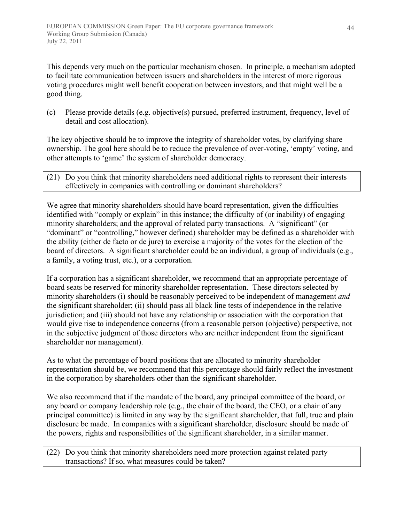This depends very much on the particular mechanism chosen. In principle, a mechanism adopted to facilitate communication between issuers and shareholders in the interest of more rigorous voting procedures might well benefit cooperation between investors, and that might well be a good thing.

(c) Please provide details (e.g. objective(s) pursued, preferred instrument, frequency, level of detail and cost allocation).

The key objective should be to improve the integrity of shareholder votes, by clarifying share ownership. The goal here should be to reduce the prevalence of over-voting, 'empty' voting, and other attempts to 'game' the system of shareholder democracy.

We agree that minority shareholders should have board representation, given the difficulties identified with "comply or explain" in this instance; the difficulty of (or inability) of engaging minority shareholders; and the approval of related party transactions. A "significant" (or "dominant" or "controlling," however defined) shareholder may be defined as a shareholder with the ability (either de facto or de jure) to exercise a majority of the votes for the election of the board of directors. A significant shareholder could be an individual, a group of individuals (e.g., a family, a voting trust, etc.), or a corporation.

If a corporation has a significant shareholder, we recommend that an appropriate percentage of board seats be reserved for minority shareholder representation. These directors selected by minority shareholders (i) should be reasonably perceived to be independent of management *and* the significant shareholder; (ii) should pass all black line tests of independence in the relative jurisdiction; and (iii) should not have any relationship or association with the corporation that would give rise to independence concerns (from a reasonable person (objective) perspective, not in the subjective judgment of those directors who are neither independent from the significant shareholder nor management).

As to what the percentage of board positions that are allocated to minority shareholder representation should be, we recommend that this percentage should fairly reflect the investment in the corporation by shareholders other than the significant shareholder.

We also recommend that if the mandate of the board, any principal committee of the board, or any board or company leadership role (e.g., the chair of the board, the CEO, or a chair of any principal committee) is limited in any way by the significant shareholder, that full, true and plain disclosure be made. In companies with a significant shareholder, disclosure should be made of the powers, rights and responsibilities of the significant shareholder, in a similar manner.

(22) Do you think that minority shareholders need more protection against related party transactions? If so, what measures could be taken?

<sup>(21)</sup> Do you think that minority shareholders need additional rights to represent their interests effectively in companies with controlling or dominant shareholders?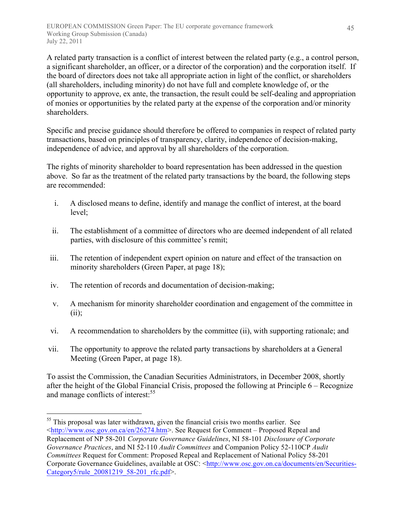A related party transaction is a conflict of interest between the related party (e.g., a control person, a significant shareholder, an officer, or a director of the corporation) and the corporation itself. If the board of directors does not take all appropriate action in light of the conflict, or shareholders (all shareholders, including minority) do not have full and complete knowledge of, or the opportunity to approve, ex ante, the transaction, the result could be self-dealing and appropriation of monies or opportunities by the related party at the expense of the corporation and/or minority shareholders.

Specific and precise guidance should therefore be offered to companies in respect of related party transactions, based on principles of transparency, clarity, independence of decision-making, independence of advice, and approval by all shareholders of the corporation.

The rights of minority shareholder to board representation has been addressed in the question above. So far as the treatment of the related party transactions by the board, the following steps are recommended:

- i. A disclosed means to define, identify and manage the conflict of interest, at the board level;
- ii. The establishment of a committee of directors who are deemed independent of all related parties, with disclosure of this committee's remit;
- iii. The retention of independent expert opinion on nature and effect of the transaction on minority shareholders (Green Paper, at page 18);
- iv. The retention of records and documentation of decision-making;
- v. A mechanism for minority shareholder coordination and engagement of the committee in  $(ii):$
- vi. A recommendation to shareholders by the committee (ii), with supporting rationale; and
- vii. The opportunity to approve the related party transactions by shareholders at a General Meeting (Green Paper, at page 18).

To assist the Commission, the Canadian Securities Administrators, in December 2008, shortly after the height of the Global Financial Crisis, proposed the following at Principle 6 – Recognize and manage conflicts of interest:<sup>55</sup>

<sup>&</sup>lt;sup>55</sup> This proposal was later withdrawn, given the financial crisis two months earlier. See <http://www.osc.gov.on.ca/en/26274.htm>. See Request for Comment – Proposed Repeal and Replacement of NP 58-201 *Corporate Governance Guidelines*, NI 58-101 *Disclosure of Corporate Governance Practices*, and NI 52-110 *Audit Committees* and Companion Policy 52-110CP *Audit Committees* Request for Comment: Proposed Repeal and Replacement of National Policy 58-201 Corporate Governance Guidelines, available at OSC: <http://www.osc.gov.on.ca/documents/en/Securities-Category5/rule 20081219 58-201 rfc.pdf>.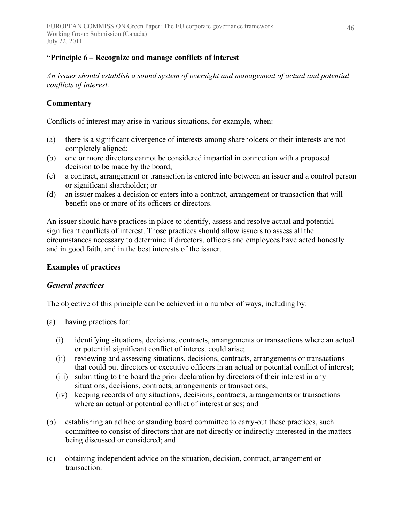# **"Principle 6 – Recognize and manage conflicts of interest**

*An issuer should establish a sound system of oversight and management of actual and potential conflicts of interest.*

# **Commentary**

Conflicts of interest may arise in various situations, for example, when:

- (a) there is a significant divergence of interests among shareholders or their interests are not completely aligned;
- (b) one or more directors cannot be considered impartial in connection with a proposed decision to be made by the board;
- (c) a contract, arrangement or transaction is entered into between an issuer and a control person or significant shareholder; or
- (d) an issuer makes a decision or enters into a contract, arrangement or transaction that will benefit one or more of its officers or directors.

An issuer should have practices in place to identify, assess and resolve actual and potential significant conflicts of interest. Those practices should allow issuers to assess all the circumstances necessary to determine if directors, officers and employees have acted honestly and in good faith, and in the best interests of the issuer.

## **Examples of practices**

## *General practices*

The objective of this principle can be achieved in a number of ways, including by:

- (a) having practices for:
	- (i) identifying situations, decisions, contracts, arrangements or transactions where an actual or potential significant conflict of interest could arise;
	- (ii) reviewing and assessing situations, decisions, contracts, arrangements or transactions that could put directors or executive officers in an actual or potential conflict of interest;
	- (iii) submitting to the board the prior declaration by directors of their interest in any situations, decisions, contracts, arrangements or transactions;
	- (iv) keeping records of any situations, decisions, contracts, arrangements or transactions where an actual or potential conflict of interest arises; and
- (b) establishing an ad hoc or standing board committee to carry-out these practices, such committee to consist of directors that are not directly or indirectly interested in the matters being discussed or considered; and
- (c) obtaining independent advice on the situation, decision, contract, arrangement or transaction.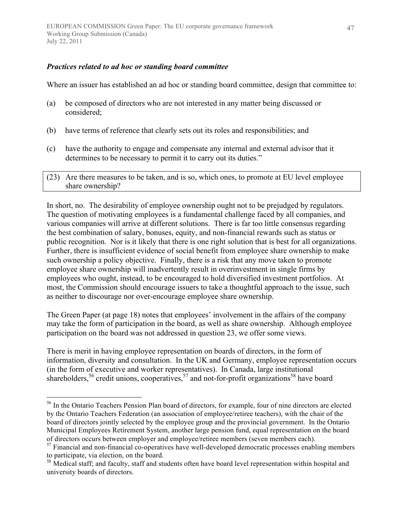# *Practices related to ad hoc or standing board committee*

Where an issuer has established an ad hoc or standing board committee, design that committee to:

- (a) be composed of directors who are not interested in any matter being discussed or considered;
- (b) have terms of reference that clearly sets out its roles and responsibilities; and
- (c) have the authority to engage and compensate any internal and external advisor that it determines to be necessary to permit it to carry out its duties."
- (23) Are there measures to be taken, and is so, which ones, to promote at EU level employee share ownership?

In short, no. The desirability of employee ownership ought not to be prejudged by regulators. The question of motivating employees is a fundamental challenge faced by all companies, and various companies will arrive at different solutions. There is far too little consensus regarding the best combination of salary, bonuses, equity, and non-financial rewards such as status or public recognition. Nor is it likely that there is one right solution that is best for all organizations. Further, there is insufficient evidence of social benefit from employee share ownership to make such ownership a policy objective. Finally, there is a risk that any move taken to promote employee share ownership will inadvertently result in overinvestment in single firms by employees who ought, instead, to be encouraged to hold diversified investment portfolios. At most, the Commission should encourage issuers to take a thoughtful approach to the issue, such as neither to discourage nor over-encourage employee share ownership.

The Green Paper (at page 18) notes that employees' involvement in the affairs of the company may take the form of participation in the board, as well as share ownership. Although employee participation on the board was not addressed in question 23, we offer some views.

There is merit in having employee representation on boards of directors, in the form of information, diversity and consultation. In the UK and Germany, employee representation occurs (in the form of executive and worker representatives). In Canada, large institutional shareholders,<sup>56</sup> credit unions, cooperatives,<sup>57</sup> and not-for-profit organizations<sup>58</sup> have board

<sup>&</sup>lt;sup>56</sup> In the Ontario Teachers Pension Plan board of directors, for example, four of nine directors are elected by the Ontario Teachers Federation (an association of employee/retiree teachers), with the chair of the board of directors jointly selected by the employee group and the provincial government. In the Ontario Municipal Employees Retirement System, another large pension fund, equal representation on the board of directors occurs between employer and employee/retiree members (seven members each). <sup>57</sup> Financial and non-financial co-operatives have well-developed democratic processes enabling members

to participate, via election, on the board.

<sup>&</sup>lt;sup>58</sup> Medical staff; and faculty, staff and students often have board level representation within hospital and university boards of directors.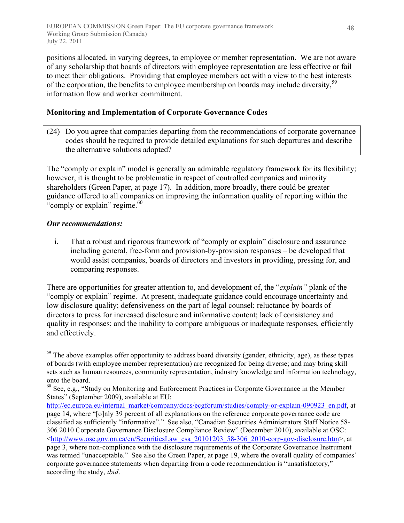positions allocated, in varying degrees, to employee or member representation. We are not aware of any scholarship that boards of directors with employee representation are less effective or fail to meet their obligations. Providing that employee members act with a view to the best interests of the corporation, the benefits to employee membership on boards may include diversity,<sup>59</sup> information flow and worker commitment.

# **Monitoring and Implementation of Corporate Governance Codes**

(24) Do you agree that companies departing from the recommendations of corporate governance codes should be required to provide detailed explanations for such departures and describe the alternative solutions adopted?

The "comply or explain" model is generally an admirable regulatory framework for its flexibility; however, it is thought to be problematic in respect of controlled companies and minority shareholders (Green Paper, at page 17). In addition, more broadly, there could be greater guidance offered to all companies on improving the information quality of reporting within the "comply or explain" regime. $60$ 

# *Our recommendations:*

i. That a robust and rigorous framework of "comply or explain" disclosure and assurance – including general, free-form and provision-by-provision responses – be developed that would assist companies, boards of directors and investors in providing, pressing for, and comparing responses.

There are opportunities for greater attention to, and development of, the "*explain"* plank of the "comply or explain" regime. At present, inadequate guidance could encourage uncertainty and low disclosure quality; defensiveness on the part of legal counsel; reluctance by boards of directors to press for increased disclosure and informative content; lack of consistency and quality in responses; and the inability to compare ambiguous or inadequate responses, efficiently and effectively.

http://ec.europa.eu/internal\_market/company/docs/ecgforum/studies/comply-or-explain-090923\_en.pdf, at page 14, where "[o]nly 39 percent of all explanations on the reference corporate governance code are classified as sufficiently "informative"." See also, "Canadian Securities Administrators Staff Notice 58- 306 2010 Corporate Governance Disclosure Compliance Review" (December 2010), available at OSC: <http://www.osc.gov.on.ca/en/SecuritiesLaw\_csa\_20101203\_58-306\_2010-corp-gov-disclosure.htm>, at page 3, where non-compliance with the disclosure requirements of the Corporate Governance Instrument was termed "unacceptable." See also the Green Paper, at page 19, where the overall quality of companies' corporate governance statements when departing from a code recommendation is "unsatisfactory," according the study, *ibid*.

 $59$  The above examples offer opportunity to address board diversity (gender, ethnicity, age), as these types of boards (with employee member representation) are recognized for being diverse; and may bring skill sets such as human resources, community representation, industry knowledge and information technology, onto the board.<br><sup>60</sup> See, e.g., "Study on Monitoring and Enforcement Practices in Corporate Governance in the Member

States" (September 2009), available at EU: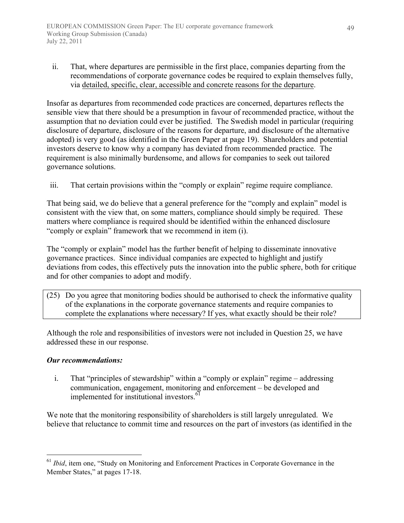ii. That, where departures are permissible in the first place, companies departing from the recommendations of corporate governance codes be required to explain themselves fully, via detailed, specific, clear, accessible and concrete reasons for the departure.

Insofar as departures from recommended code practices are concerned, departures reflects the sensible view that there should be a presumption in favour of recommended practice, without the assumption that no deviation could ever be justified. The Swedish model in particular (requiring disclosure of departure, disclosure of the reasons for departure, and disclosure of the alternative adopted) is very good (as identified in the Green Paper at page 19). Shareholders and potential investors deserve to know why a company has deviated from recommended practice. The requirement is also minimally burdensome, and allows for companies to seek out tailored governance solutions.

iii. That certain provisions within the "comply or explain" regime require compliance.

That being said, we do believe that a general preference for the "comply and explain" model is consistent with the view that, on some matters, compliance should simply be required. These matters where compliance is required should be identified within the enhanced disclosure "comply or explain" framework that we recommend in item (i).

The "comply or explain" model has the further benefit of helping to disseminate innovative governance practices. Since individual companies are expected to highlight and justify deviations from codes, this effectively puts the innovation into the public sphere, both for critique and for other companies to adopt and modify.

(25) Do you agree that monitoring bodies should be authorised to check the informative quality of the explanations in the corporate governance statements and require companies to complete the explanations where necessary? If yes, what exactly should be their role?

Although the role and responsibilities of investors were not included in Question 25, we have addressed these in our response.

# *Our recommendations:*

i. That "principles of stewardship" within a "comply or explain" regime – addressing communication, engagement, monitoring and enforcement – be developed and implemented for institutional investors.<sup>61</sup>

We note that the monitoring responsibility of shareholders is still largely unregulated. We believe that reluctance to commit time and resources on the part of investors (as identified in the

<sup>&</sup>lt;sup>61</sup> *Ibid*, item one, "Study on Monitoring and Enforcement Practices in Corporate Governance in the Member States," at pages 17-18.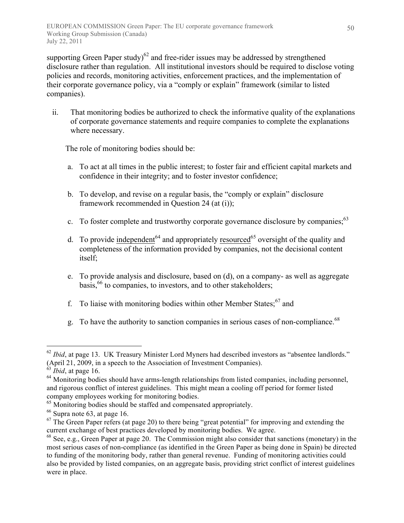supporting Green Paper study)<sup>62</sup> and free-rider issues may be addressed by strengthened disclosure rather than regulation. All institutional investors should be required to disclose voting policies and records, monitoring activities, enforcement practices, and the implementation of their corporate governance policy, via a "comply or explain" framework (similar to listed companies).

ii. That monitoring bodies be authorized to check the informative quality of the explanations of corporate governance statements and require companies to complete the explanations where necessary.

The role of monitoring bodies should be:

- a. To act at all times in the public interest; to foster fair and efficient capital markets and confidence in their integrity; and to foster investor confidence;
- b. To develop, and revise on a regular basis, the "comply or explain" disclosure framework recommended in Question 24 (at (i));
- c. To foster complete and trustworthy corporate governance disclosure by companies;<sup>63</sup>
- d. To provide independent<sup>64</sup> and appropriately resourced<sup>65</sup> oversight of the quality and completeness of the information provided by companies, not the decisional content itself;
- e. To provide analysis and disclosure, based on (d), on a company- as well as aggregate basis, <sup>66</sup> to companies, to investors, and to other stakeholders;
- f. To liaise with monitoring bodies within other Member States: $67$  and
- g. To have the authority to sanction companies in serious cases of non-compliance.<sup>68</sup>

 $62$  *Ibid*, at page 13. UK Treasury Minister Lord Myners had described investors as "absentee landlords." (April 21, 2009, in a speech to the Association of Investment Companies).

*Ibid*, at page 16.

<sup>&</sup>lt;sup>64</sup> Monitoring bodies should have arms-length relationships from listed companies, including personnel, and rigorous conflict of interest guidelines. This might mean a cooling off period for former listed company employees working for monitoring bodies.

 $^{65}$  Monitoring bodies should be staffed and compensated appropriately.<br> $^{66}$  Supra note 63, at page 16.

 $^{67}$  The Green Paper refers (at page 20) to there being "great potential" for improving and extending the current exchange of best practices developed by monitoring bodies. We agree.

 $68$  See, e.g., Green Paper at page 20. The Commission might also consider that sanctions (monetary) in the most serious cases of non-compliance (as identified in the Green Paper as being done in Spain) be directed to funding of the monitoring body, rather than general revenue. Funding of monitoring activities could also be provided by listed companies, on an aggregate basis, providing strict conflict of interest guidelines were in place.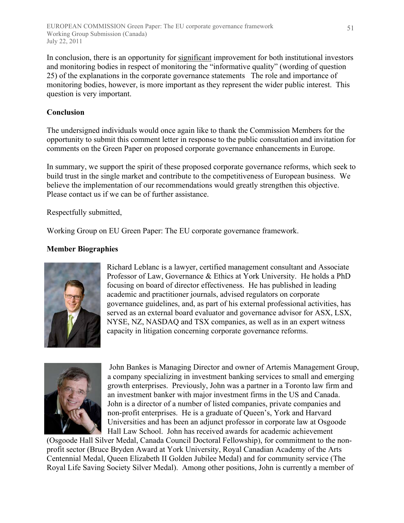In conclusion, there is an opportunity for significant improvement for both institutional investors and monitoring bodies in respect of monitoring the "informative quality" (wording of question 25) of the explanations in the corporate governance statements The role and importance of monitoring bodies, however, is more important as they represent the wider public interest. This question is very important.

# **Conclusion**

The undersigned individuals would once again like to thank the Commission Members for the opportunity to submit this comment letter in response to the public consultation and invitation for comments on the Green Paper on proposed corporate governance enhancements in Europe.

In summary, we support the spirit of these proposed corporate governance reforms, which seek to build trust in the single market and contribute to the competitiveness of European business. We believe the implementation of our recommendations would greatly strengthen this objective. Please contact us if we can be of further assistance.

Respectfully submitted,

Working Group on EU Green Paper: The EU corporate governance framework.

# **Member Biographies**



Richard Leblanc is a lawyer, certified management consultant and Associate Professor of Law, Governance & Ethics at York University. He holds a PhD focusing on board of director effectiveness. He has published in leading academic and practitioner journals, advised regulators on corporate governance guidelines, and, as part of his external professional activities, has served as an external board evaluator and governance advisor for ASX, LSX, NYSE, NZ, NASDAQ and TSX companies, as well as in an expert witness capacity in litigation concerning corporate governance reforms.



John Bankes is Managing Director and owner of Artemis Management Group, a company specializing in investment banking services to small and emerging growth enterprises. Previously, John was a partner in a Toronto law firm and an investment banker with major investment firms in the US and Canada. John is a director of a number of listed companies, private companies and non-profit enterprises. He is a graduate of Queen's, York and Harvard Universities and has been an adjunct professor in corporate law at Osgoode Hall Law School. John has received awards for academic achievement

(Osgoode Hall Silver Medal, Canada Council Doctoral Fellowship), for commitment to the nonprofit sector (Bruce Bryden Award at York University, Royal Canadian Academy of the Arts Centennial Medal, Queen Elizabeth II Golden Jubilee Medal) and for community service (The Royal Life Saving Society Silver Medal). Among other positions, John is currently a member of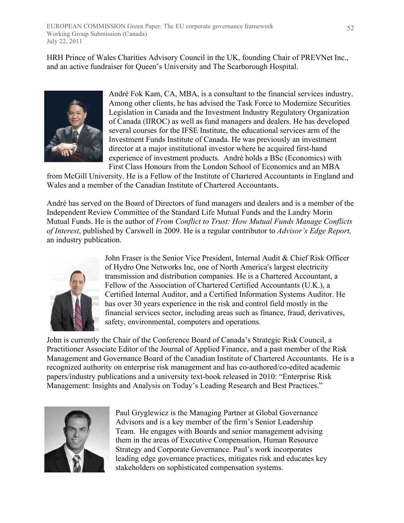HRH Prince of Wales Charities Advisory Council in the UK, founding Chair of PREVNet Inc., and an active fundraiser for Queen's University and The Scarborough Hospital.



André Fok Kam, CA, MBA, is a consultant to the financial services industry. Among other clients, he has advised the Task Force to Modernize Securities Legislation in Canada and the Investment Industry Regulatory Organization of Canada (IIROC) as well as fund managers and dealers. He has developed several courses for the IFSE Institute, the educational services arm of the Investment Funds Institute of Canada. He was previously an investment director at a major institutional investor where he acquired first-hand experience of investment products. André holds a BSc (Economics) with First Class Honours from the London School of Economics and an MBA

from McGill University. He is a Fellow of the Institute of Chartered Accountants in England and Wales and a member of the Canadian Institute of Chartered Accountants.

André has served on the Board of Directors of fund managers and dealers and is a member of the Independent Review Committee of the Standard Life Mutual Funds and the Landry Morin Mutual Funds. He is the author of *From Conflict to Trust: How Mutual Funds Manage Conflicts of Interest*, published by Carswell in 2009. He is a regular contributor to *Advisor's Edge Report,*  an industry publication.



John Fraser is the Senior Vice President, Internal Audit & Chief Risk Officer of Hydro One Networks Inc, one of North America's largest electricity transmission and distribution companies. He is a Chartered Accountant, a Fellow of the Association of Chartered Certified Accountants (U.K.), a Certified Internal Auditor, and a Certified Information Systems Auditor. He has over 30 years experience in the risk and control field mostly in the financial services sector, including areas such as finance, fraud, derivatives, safety, environmental, computers and operations.

John is currently the Chair of the Conference Board of Canada's Strategic Risk Council, a Practitioner Associate Editor of the Journal of Applied Finance, and a past member of the Risk Management and Governance Board of the Canadian Institute of Chartered Accountants. He is a recognized authority on enterprise risk management and has co-authored/co-edited academic papers/industry publications and a university text-book released in 2010: "Enterprise Risk Management: Insights and Analysis on Today's Leading Research and Best Practices."



Paul Gryglewicz is the Managing Partner at Global Governance Advisors and is a key member of the firm's Senior Leadership Team. He engages with Boards and senior management advising them in the areas of Executive Compensation, Human Resource Strategy and Corporate Governance. Paul's work incorporates leading edge governance practices, mitigates risk and educates key stakeholders on sophisticated compensation systems.